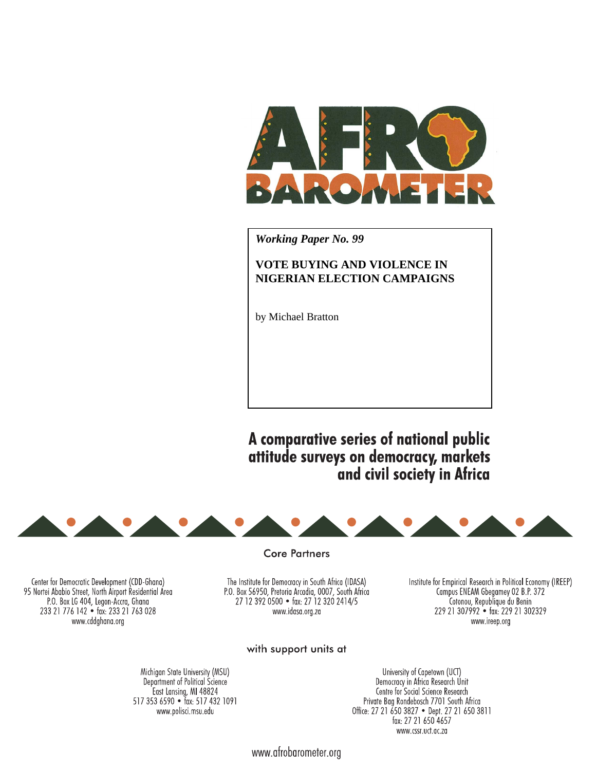

*Working Paper No. 99* 

# **VOTE BUYING AND VIOLENCE IN NIGERIAN ELECTION CAMPAIGNS**

by Michael Bratton

A comparative series of national public attitude surveys on democracy, markets and civil society in Africa



**Core Partners** 

The Institute for Democracy in South Africa (IDASA) P.O. Box 56950, Pretoria Arcadia, 0007, South Africa<br>27 12 392 0500 • fax: 27 12 320 2414/5 www.idasa.org.za

Institute for Empirical Research in Political Economy (IREEP) Compus ENEAM Gbegamey 02 B.P. 372<br>Cotonou, Republique du Benin 229 21 307992 · fax: 229 21 302329 www.ireep.org

# with support units at

Michigan State University (MSU) Department of Political Science East Lansing, MI 48824 517 353 6590 · fax: 517 432 1091 www.polisci.msu.edu

Center for Democratic Development (CDD-Ghana)

95 Nortei Ababio Street, North Airport Residential Area P.O. Box LG 404, Legon-Accra, Ghana 233 21 776 142 • fax: 233 21 763 028

> University of Capetown (UCT) Democracy in Africa Research Unit Centre for Social Science Research Private Bag Rondebosch 7701 South Africa Office: 27 21 650 3827 • Dept. 27 21 650 3811 fax: 27 21 650 4657 www.cssr.uct.ac.za

www.afrobarometer.org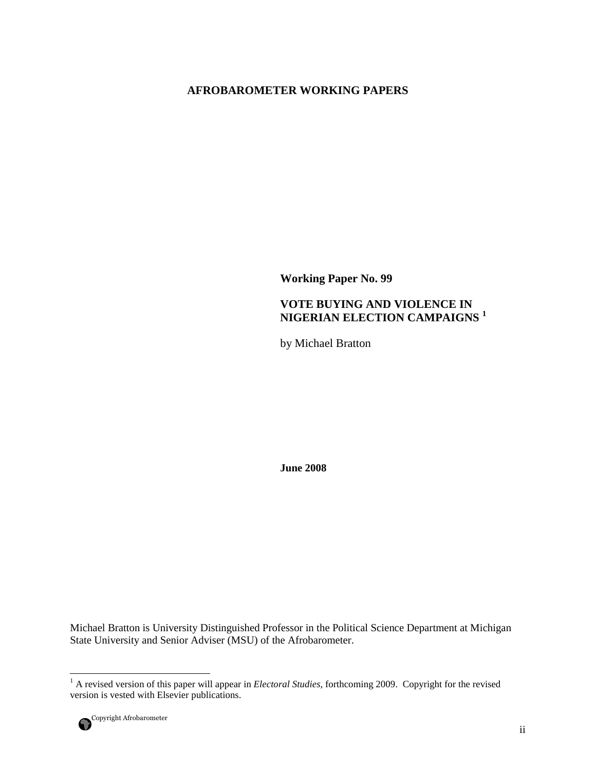# **AFROBAROMETER WORKING PAPERS**

**Working Paper No. 99** 

# **VOTE BUYING AND VIOLENCE IN NIGERIAN ELECTION CAMPAIGNS <sup>1</sup>**

by Michael Bratton

**June 2008** 

Michael Bratton is University Distinguished Professor in the Political Science Department at Michigan State University and Senior Adviser (MSU) of the Afrobarometer.

 1 A revised version of this paper will appear in *Electoral Studies*, forthcoming 2009. Copyright for the revised version is vested with Elsevier publications.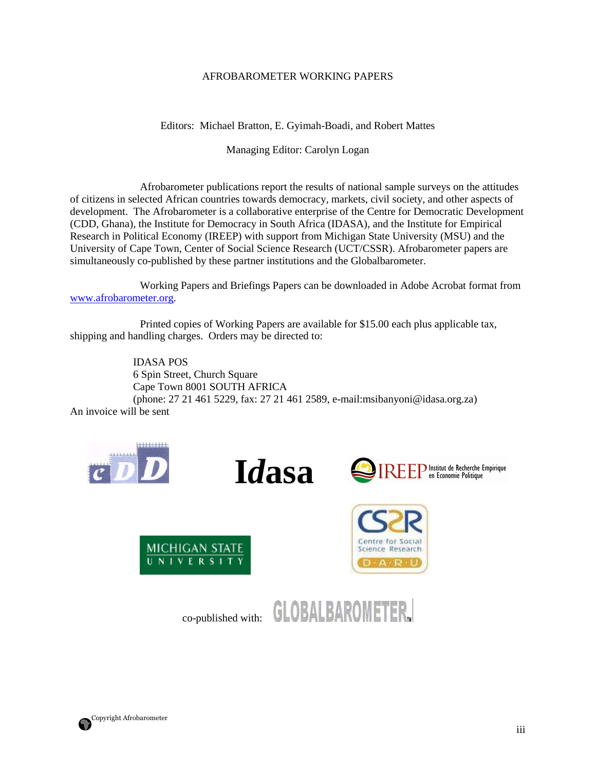# AFROBAROMETER WORKING PAPERS

Editors: Michael Bratton, E. Gyimah-Boadi, and Robert Mattes

Managing Editor: Carolyn Logan

 Afrobarometer publications report the results of national sample surveys on the attitudes of citizens in selected African countries towards democracy, markets, civil society, and other aspects of development. The Afrobarometer is a collaborative enterprise of the Centre for Democratic Development (CDD, Ghana), the Institute for Democracy in South Africa (IDASA), and the Institute for Empirical Research in Political Economy (IREEP) with support from Michigan State University (MSU) and the University of Cape Town, Center of Social Science Research (UCT/CSSR). Afrobarometer papers are simultaneously co-published by these partner institutions and the Globalbarometer.

 Working Papers and Briefings Papers can be downloaded in Adobe Acrobat format from www.afrobarometer.org.

 Printed copies of Working Papers are available for \$15.00 each plus applicable tax, shipping and handling charges. Orders may be directed to:

 IDASA POS 6 Spin Street, Church Square Cape Town 8001 SOUTH AFRICA (phone: 27 21 461 5229, fax: 27 21 461 2589, e-mail:msibanyoni@idasa.org.za) An invoice will be sent













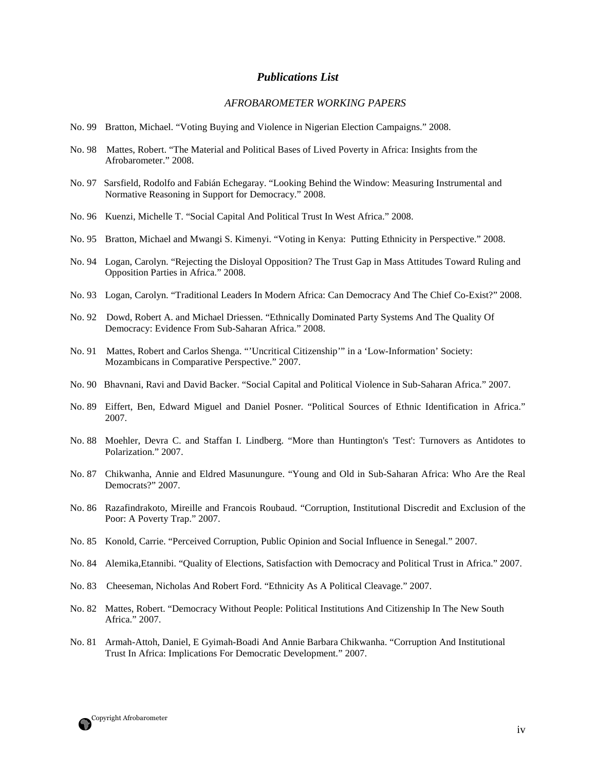#### *Publications List*

#### *AFROBAROMETER WORKING PAPERS*

- No. 99 Bratton, Michael. "Voting Buying and Violence in Nigerian Election Campaigns." 2008.
- No. 98 Mattes, Robert. "The Material and Political Bases of Lived Poverty in Africa: Insights from the Afrobarometer." 2008.
- No. 97 Sarsfield, Rodolfo and Fabián Echegaray. "Looking Behind the Window: Measuring Instrumental and Normative Reasoning in Support for Democracy." 2008.
- No. 96 Kuenzi, Michelle T. "Social Capital And Political Trust In West Africa." 2008.
- No. 95 Bratton, Michael and Mwangi S. Kimenyi. "Voting in Kenya: Putting Ethnicity in Perspective." 2008.
- No. 94 Logan, Carolyn. "Rejecting the Disloyal Opposition? The Trust Gap in Mass Attitudes Toward Ruling and Opposition Parties in Africa." 2008.
- No. 93 Logan, Carolyn. "Traditional Leaders In Modern Africa: Can Democracy And The Chief Co-Exist?" 2008.
- No. 92 Dowd, Robert A. and Michael Driessen. "Ethnically Dominated Party Systems And The Quality Of Democracy: Evidence From Sub-Saharan Africa." 2008.
- No. 91 Mattes, Robert and Carlos Shenga. "'Uncritical Citizenship'" in a 'Low-Information' Society: Mozambicans in Comparative Perspective." 2007.
- No. 90 Bhavnani, Ravi and David Backer. "Social Capital and Political Violence in Sub-Saharan Africa." 2007.
- No. 89 Eiffert, Ben, Edward Miguel and Daniel Posner. "Political Sources of Ethnic Identification in Africa." 2007.
- No. 88 Moehler, Devra C. and Staffan I. Lindberg. "More than Huntington's 'Test': Turnovers as Antidotes to Polarization." 2007.
- No. 87 Chikwanha, Annie and Eldred Masunungure. "Young and Old in Sub-Saharan Africa: Who Are the Real Democrats?" 2007.
- No. 86 Razafindrakoto, Mireille and Francois Roubaud. "Corruption, Institutional Discredit and Exclusion of the Poor: A Poverty Trap." 2007.
- No. 85 Konold, Carrie. "Perceived Corruption, Public Opinion and Social Influence in Senegal." 2007.
- No. 84 Alemika,Etannibi. "Quality of Elections, Satisfaction with Democracy and Political Trust in Africa." 2007.
- No. 83 Cheeseman, Nicholas And Robert Ford. "Ethnicity As A Political Cleavage." 2007.
- No. 82 Mattes, Robert. "Democracy Without People: Political Institutions And Citizenship In The New South Africa." 2007.
- No. 81 Armah-Attoh, Daniel, E Gyimah-Boadi And Annie Barbara Chikwanha. "Corruption And Institutional Trust In Africa: Implications For Democratic Development." 2007.

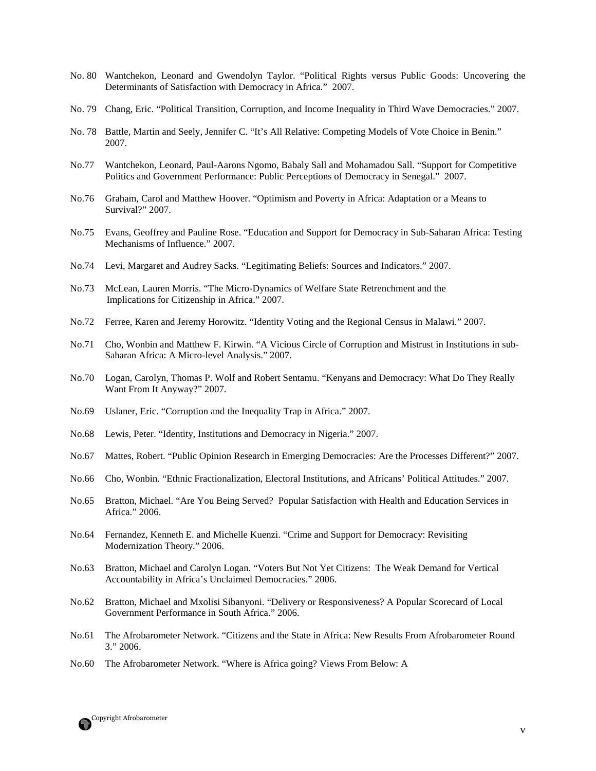- No. 80 Wantchekon, Leonard and Gwendolyn Taylor. "Political Rights versus Public Goods: Uncovering the Determinants of Satisfaction with Democracy in Africa." 2007.
- No. 79 Chang, Eric. "Political Transition, Corruption, and Income Inequality in Third Wave Democracies." 2007.
- No. 78 Battle, Martin and Seely, Jennifer C. "It's All Relative: Competing Models of Vote Choice in Benin." 2007.
- No.77 Wantchekon, Leonard, Paul-Aarons Ngomo, Babaly Sall and Mohamadou Sall. "Support for Competitive Politics and Government Performance: Public Perceptions of Democracy in Senegal." 2007.
- No.76 Graham, Carol and Matthew Hoover. "Optimism and Poverty in Africa: Adaptation or a Means to Survival?" 2007.
- No.75 Evans, Geoffrey and Pauline Rose. "Education and Support for Democracy in Sub-Saharan Africa: Testing Mechanisms of Influence." 2007.
- No.74 Levi, Margaret and Audrey Sacks. "Legitimating Beliefs: Sources and Indicators." 2007.
- No.73 McLean, Lauren Morris. "The Micro-Dynamics of Welfare State Retrenchment and the Implications for Citizenship in Africa." 2007.
- No.72 Ferree, Karen and Jeremy Horowitz. "Identity Voting and the Regional Census in Malawi." 2007.
- No.71 Cho, Wonbin and Matthew F. Kirwin. "A Vicious Circle of Corruption and Mistrust in Institutions in sub-Saharan Africa: A Micro-level Analysis." 2007.
- No.70 Logan, Carolyn, Thomas P. Wolf and Robert Sentamu. "Kenyans and Democracy: What Do They Really Want From It Anyway?" 2007.
- No.69 Uslaner, Eric. "Corruption and the Inequality Trap in Africa." 2007.
- No.68 Lewis, Peter. "Identity, Institutions and Democracy in Nigeria." 2007.
- No.67 Mattes, Robert. "Public Opinion Research in Emerging Democracies: Are the Processes Different?" 2007.
- No.66 Cho, Wonbin. "Ethnic Fractionalization, Electoral Institutions, and Africans' Political Attitudes." 2007.
- No.65 Bratton, Michael. "Are You Being Served? Popular Satisfaction with Health and Education Services in Africa." 2006.
- No.64 Fernandez, Kenneth E. and Michelle Kuenzi. "Crime and Support for Democracy: Revisiting Modernization Theory." 2006.
- No.63 Bratton, Michael and Carolyn Logan. "Voters But Not Yet Citizens: The Weak Demand for Vertical Accountability in Africa's Unclaimed Democracies." 2006.
- No.62 Bratton, Michael and Mxolisi Sibanyoni. "Delivery or Responsiveness? A Popular Scorecard of Local Government Performance in South Africa." 2006.
- No.61 The Afrobarometer Network. "Citizens and the State in Africa: New Results From Afrobarometer Round 3." 2006.
- No.60 The Afrobarometer Network. "Where is Africa going? Views From Below: A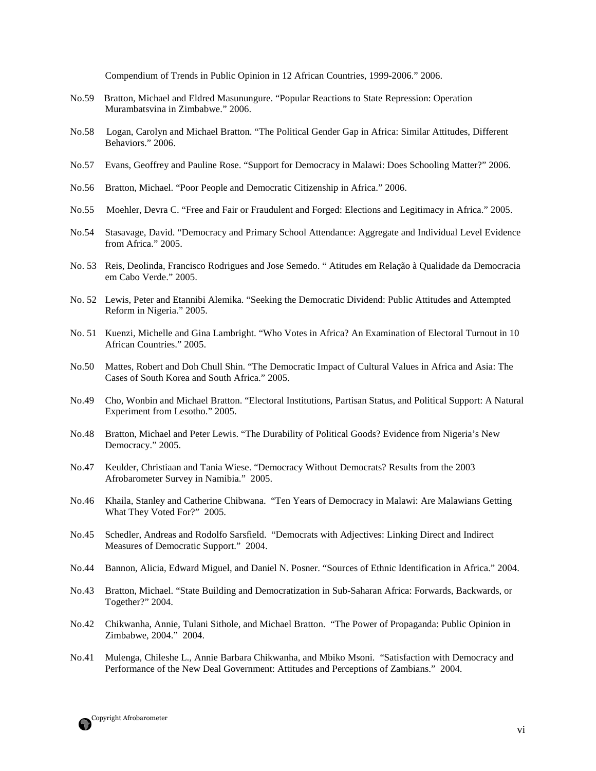Compendium of Trends in Public Opinion in 12 African Countries, 1999-2006." 2006.

- No.59 Bratton, Michael and Eldred Masunungure. "Popular Reactions to State Repression: Operation Murambatsvina in Zimbabwe." 2006.
- No.58 Logan, Carolyn and Michael Bratton. "The Political Gender Gap in Africa: Similar Attitudes, Different Behaviors." 2006.
- No.57 Evans, Geoffrey and Pauline Rose. "Support for Democracy in Malawi: Does Schooling Matter?" 2006.
- No.56 Bratton, Michael. "Poor People and Democratic Citizenship in Africa." 2006.
- No.55 Moehler, Devra C. "Free and Fair or Fraudulent and Forged: Elections and Legitimacy in Africa." 2005.
- No.54 Stasavage, David. "Democracy and Primary School Attendance: Aggregate and Individual Level Evidence from Africa." 2005.
- No. 53 Reis, Deolinda, Francisco Rodrigues and Jose Semedo. " Atitudes em Relação à Qualidade da Democracia em Cabo Verde." 2005.
- No. 52 Lewis, Peter and Etannibi Alemika. "Seeking the Democratic Dividend: Public Attitudes and Attempted Reform in Nigeria." 2005.
- No. 51 Kuenzi, Michelle and Gina Lambright. "Who Votes in Africa? An Examination of Electoral Turnout in 10 African Countries." 2005.
- No.50 Mattes, Robert and Doh Chull Shin. "The Democratic Impact of Cultural Values in Africa and Asia: The Cases of South Korea and South Africa." 2005.
- No.49 Cho, Wonbin and Michael Bratton. "Electoral Institutions, Partisan Status, and Political Support: A Natural Experiment from Lesotho." 2005.
- No.48 Bratton, Michael and Peter Lewis. "The Durability of Political Goods? Evidence from Nigeria's New Democracy." 2005.
- No.47 Keulder, Christiaan and Tania Wiese. "Democracy Without Democrats? Results from the 2003 Afrobarometer Survey in Namibia." 2005.
- No.46 Khaila, Stanley and Catherine Chibwana. "Ten Years of Democracy in Malawi: Are Malawians Getting What They Voted For?" 2005.
- No.45 Schedler, Andreas and Rodolfo Sarsfield. "Democrats with Adjectives: Linking Direct and Indirect Measures of Democratic Support." 2004.
- No.44 Bannon, Alicia, Edward Miguel, and Daniel N. Posner. "Sources of Ethnic Identification in Africa." 2004.
- No.43 Bratton, Michael. "State Building and Democratization in Sub-Saharan Africa: Forwards, Backwards, or Together?" 2004.
- No.42 Chikwanha, Annie, Tulani Sithole, and Michael Bratton. "The Power of Propaganda: Public Opinion in Zimbabwe, 2004." 2004.
- No.41 Mulenga, Chileshe L., Annie Barbara Chikwanha, and Mbiko Msoni. "Satisfaction with Democracy and Performance of the New Deal Government: Attitudes and Perceptions of Zambians." 2004.

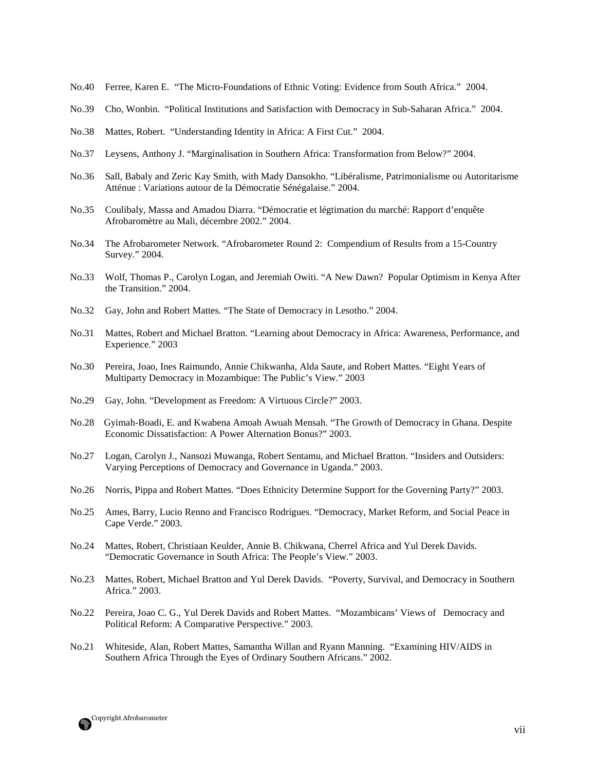- No.40 Ferree, Karen E. "The Micro-Foundations of Ethnic Voting: Evidence from South Africa." 2004.
- No.39 Cho, Wonbin. "Political Institutions and Satisfaction with Democracy in Sub-Saharan Africa." 2004.
- No.38 Mattes, Robert. "Understanding Identity in Africa: A First Cut." 2004.
- No.37 Leysens, Anthony J. "Marginalisation in Southern Africa: Transformation from Below?" 2004.
- No.36 Sall, Babaly and Zeric Kay Smith, with Mady Dansokho. "Libéralisme, Patrimonialisme ou Autoritarisme Atténue : Variations autour de la Démocratie Sénégalaise." 2004.
- No.35 Coulibaly, Massa and Amadou Diarra. "Démocratie et légtimation du marché: Rapport d'enquête Afrobaromètre au Mali, décembre 2002." 2004.
- No.34 The Afrobarometer Network. "Afrobarometer Round 2: Compendium of Results from a 15-Country Survey." 2004.
- No.33 Wolf, Thomas P., Carolyn Logan, and Jeremiah Owiti. "A New Dawn? Popular Optimism in Kenya After the Transition." 2004.
- No.32 Gay, John and Robert Mattes. "The State of Democracy in Lesotho." 2004.
- No.31 Mattes, Robert and Michael Bratton. "Learning about Democracy in Africa: Awareness, Performance, and Experience." 2003
- No.30 Pereira, Joao, Ines Raimundo, Annie Chikwanha, Alda Saute, and Robert Mattes. "Eight Years of Multiparty Democracy in Mozambique: The Public's View." 2003
- No.29 Gay, John. "Development as Freedom: A Virtuous Circle?" 2003.
- No.28 Gyimah-Boadi, E. and Kwabena Amoah Awuah Mensah. "The Growth of Democracy in Ghana. Despite Economic Dissatisfaction: A Power Alternation Bonus?" 2003.
- No.27 Logan, Carolyn J., Nansozi Muwanga, Robert Sentamu, and Michael Bratton. "Insiders and Outsiders: Varying Perceptions of Democracy and Governance in Uganda." 2003.
- No.26 Norris, Pippa and Robert Mattes. "Does Ethnicity Determine Support for the Governing Party?" 2003.
- No.25 Ames, Barry, Lucio Renno and Francisco Rodrigues. "Democracy, Market Reform, and Social Peace in Cape Verde." 2003.
- No.24 Mattes, Robert, Christiaan Keulder, Annie B. Chikwana, Cherrel Africa and Yul Derek Davids. "Democratic Governance in South Africa: The People's View." 2003.
- No.23 Mattes, Robert, Michael Bratton and Yul Derek Davids. "Poverty, Survival, and Democracy in Southern Africa." 2003.
- No.22 Pereira, Joao C. G., Yul Derek Davids and Robert Mattes. "Mozambicans' Views of Democracy and Political Reform: A Comparative Perspective." 2003.
- No.21 Whiteside, Alan, Robert Mattes, Samantha Willan and Ryann Manning. "Examining HIV/AIDS in Southern Africa Through the Eyes of Ordinary Southern Africans." 2002.

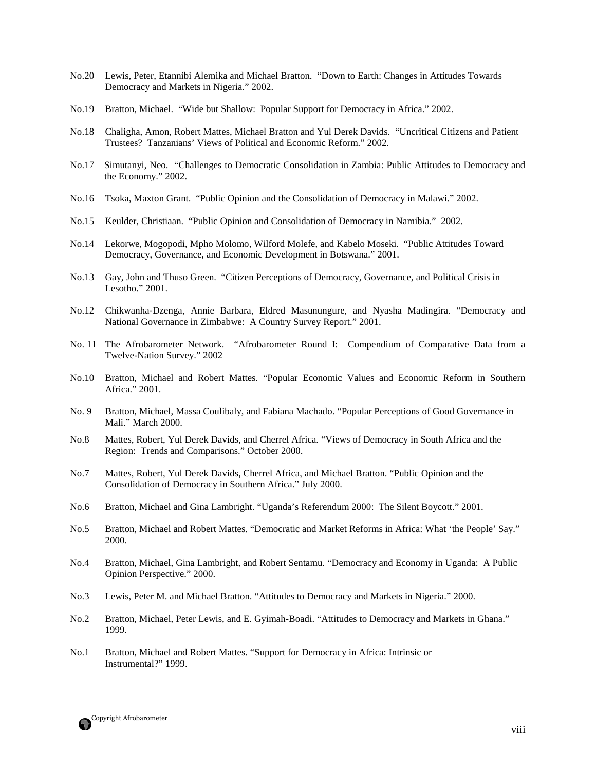- No.20 Lewis, Peter, Etannibi Alemika and Michael Bratton. "Down to Earth: Changes in Attitudes Towards Democracy and Markets in Nigeria." 2002.
- No.19 Bratton, Michael. "Wide but Shallow: Popular Support for Democracy in Africa." 2002.
- No.18 Chaligha, Amon, Robert Mattes, Michael Bratton and Yul Derek Davids. "Uncritical Citizens and Patient Trustees? Tanzanians' Views of Political and Economic Reform." 2002.
- No.17 Simutanyi, Neo. "Challenges to Democratic Consolidation in Zambia: Public Attitudes to Democracy and the Economy." 2002.
- No.16 Tsoka, Maxton Grant. "Public Opinion and the Consolidation of Democracy in Malawi." 2002.
- No.15 Keulder, Christiaan. "Public Opinion and Consolidation of Democracy in Namibia." 2002.
- No.14 Lekorwe, Mogopodi, Mpho Molomo, Wilford Molefe, and Kabelo Moseki. "Public Attitudes Toward Democracy, Governance, and Economic Development in Botswana." 2001.
- No.13 Gay, John and Thuso Green. "Citizen Perceptions of Democracy, Governance, and Political Crisis in Lesotho." 2001.
- No.12 Chikwanha-Dzenga, Annie Barbara, Eldred Masunungure, and Nyasha Madingira. "Democracy and National Governance in Zimbabwe: A Country Survey Report." 2001.
- No. 11 The Afrobarometer Network. "Afrobarometer Round I: Compendium of Comparative Data from a Twelve-Nation Survey." 2002
- No.10 Bratton, Michael and Robert Mattes. "Popular Economic Values and Economic Reform in Southern Africa." 2001.
- No. 9 Bratton, Michael, Massa Coulibaly, and Fabiana Machado. "Popular Perceptions of Good Governance in Mali." March 2000.
- No.8 Mattes, Robert, Yul Derek Davids, and Cherrel Africa. "Views of Democracy in South Africa and the Region: Trends and Comparisons." October 2000.
- No.7 Mattes, Robert, Yul Derek Davids, Cherrel Africa, and Michael Bratton. "Public Opinion and the Consolidation of Democracy in Southern Africa." July 2000.
- No.6 Bratton, Michael and Gina Lambright. "Uganda's Referendum 2000: The Silent Boycott." 2001.
- No.5 Bratton, Michael and Robert Mattes. "Democratic and Market Reforms in Africa: What 'the People' Say." 2000.
- No.4 Bratton, Michael, Gina Lambright, and Robert Sentamu. "Democracy and Economy in Uganda: A Public Opinion Perspective." 2000.
- No.3 Lewis, Peter M. and Michael Bratton. "Attitudes to Democracy and Markets in Nigeria." 2000.
- No.2 Bratton, Michael, Peter Lewis, and E. Gyimah-Boadi. "Attitudes to Democracy and Markets in Ghana." 1999.
- No.1 Bratton, Michael and Robert Mattes. "Support for Democracy in Africa: Intrinsic or Instrumental?" 1999.

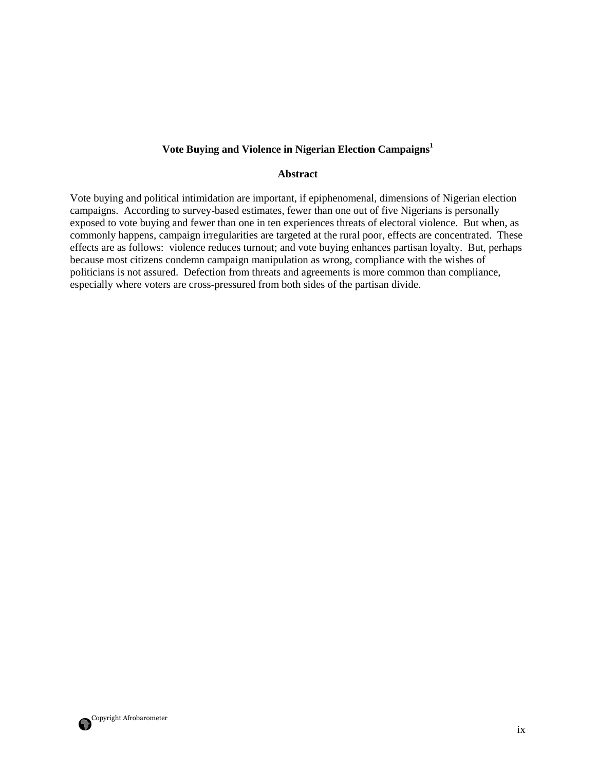### **Vote Buying and Violence in Nigerian Election Campaigns<sup>1</sup>**

#### **Abstract**

Vote buying and political intimidation are important, if epiphenomenal, dimensions of Nigerian election campaigns. According to survey-based estimates, fewer than one out of five Nigerians is personally exposed to vote buying and fewer than one in ten experiences threats of electoral violence. But when, as commonly happens, campaign irregularities are targeted at the rural poor, effects are concentrated. These effects are as follows: violence reduces turnout; and vote buying enhances partisan loyalty. But, perhaps because most citizens condemn campaign manipulation as wrong, compliance with the wishes of politicians is not assured. Defection from threats and agreements is more common than compliance, especially where voters are cross-pressured from both sides of the partisan divide.

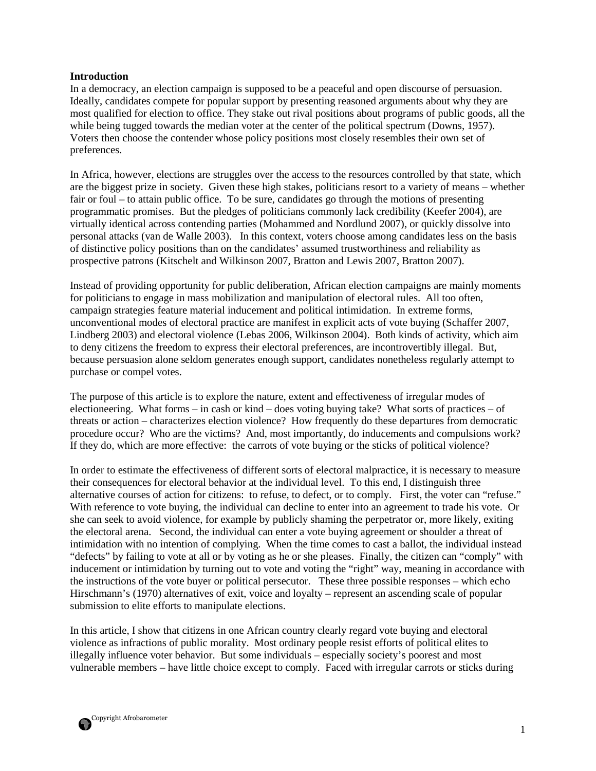#### **Introduction**

In a democracy, an election campaign is supposed to be a peaceful and open discourse of persuasion. Ideally, candidates compete for popular support by presenting reasoned arguments about why they are most qualified for election to office. They stake out rival positions about programs of public goods, all the while being tugged towards the median voter at the center of the political spectrum (Downs, 1957). Voters then choose the contender whose policy positions most closely resembles their own set of preferences.

In Africa, however, elections are struggles over the access to the resources controlled by that state, which are the biggest prize in society. Given these high stakes, politicians resort to a variety of means – whether fair or foul – to attain public office. To be sure, candidates go through the motions of presenting programmatic promises. But the pledges of politicians commonly lack credibility (Keefer 2004), are virtually identical across contending parties (Mohammed and Nordlund 2007), or quickly dissolve into personal attacks (van de Walle 2003). In this context, voters choose among candidates less on the basis of distinctive policy positions than on the candidates' assumed trustworthiness and reliability as prospective patrons (Kitschelt and Wilkinson 2007, Bratton and Lewis 2007, Bratton 2007).

Instead of providing opportunity for public deliberation, African election campaigns are mainly moments for politicians to engage in mass mobilization and manipulation of electoral rules. All too often, campaign strategies feature material inducement and political intimidation. In extreme forms, unconventional modes of electoral practice are manifest in explicit acts of vote buying (Schaffer 2007, Lindberg 2003) and electoral violence (Lebas 2006, Wilkinson 2004). Both kinds of activity, which aim to deny citizens the freedom to express their electoral preferences, are incontrovertibly illegal. But, because persuasion alone seldom generates enough support, candidates nonetheless regularly attempt to purchase or compel votes.

The purpose of this article is to explore the nature, extent and effectiveness of irregular modes of electioneering. What forms – in cash or kind – does voting buying take? What sorts of practices – of threats or action – characterizes election violence? How frequently do these departures from democratic procedure occur? Who are the victims? And, most importantly, do inducements and compulsions work? If they do, which are more effective: the carrots of vote buying or the sticks of political violence?

In order to estimate the effectiveness of different sorts of electoral malpractice, it is necessary to measure their consequences for electoral behavior at the individual level. To this end, I distinguish three alternative courses of action for citizens: to refuse, to defect, or to comply. First, the voter can "refuse." With reference to vote buying, the individual can decline to enter into an agreement to trade his vote. Or she can seek to avoid violence, for example by publicly shaming the perpetrator or, more likely, exiting the electoral arena. Second, the individual can enter a vote buying agreement or shoulder a threat of intimidation with no intention of complying. When the time comes to cast a ballot, the individual instead "defects" by failing to vote at all or by voting as he or she pleases. Finally, the citizen can "comply" with inducement or intimidation by turning out to vote and voting the "right" way, meaning in accordance with the instructions of the vote buyer or political persecutor. These three possible responses – which echo Hirschmann's (1970) alternatives of exit, voice and loyalty – represent an ascending scale of popular submission to elite efforts to manipulate elections.

In this article, I show that citizens in one African country clearly regard vote buying and electoral violence as infractions of public morality. Most ordinary people resist efforts of political elites to illegally influence voter behavior. But some individuals – especially society's poorest and most vulnerable members – have little choice except to comply. Faced with irregular carrots or sticks during

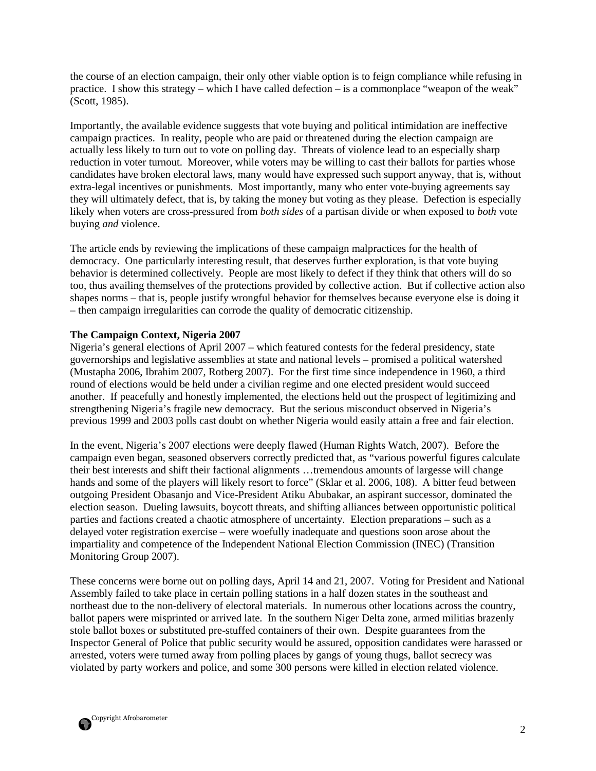the course of an election campaign, their only other viable option is to feign compliance while refusing in practice. I show this strategy – which I have called defection – is a commonplace "weapon of the weak" (Scott, 1985).

Importantly, the available evidence suggests that vote buying and political intimidation are ineffective campaign practices. In reality, people who are paid or threatened during the election campaign are actually less likely to turn out to vote on polling day. Threats of violence lead to an especially sharp reduction in voter turnout. Moreover, while voters may be willing to cast their ballots for parties whose candidates have broken electoral laws, many would have expressed such support anyway, that is, without extra-legal incentives or punishments. Most importantly, many who enter vote-buying agreements say they will ultimately defect, that is, by taking the money but voting as they please. Defection is especially likely when voters are cross-pressured from *both sides* of a partisan divide or when exposed to *both* vote buying *and* violence.

The article ends by reviewing the implications of these campaign malpractices for the health of democracy. One particularly interesting result, that deserves further exploration, is that vote buying behavior is determined collectively. People are most likely to defect if they think that others will do so too, thus availing themselves of the protections provided by collective action. But if collective action also shapes norms – that is, people justify wrongful behavior for themselves because everyone else is doing it – then campaign irregularities can corrode the quality of democratic citizenship.

# **The Campaign Context, Nigeria 2007**

Nigeria's general elections of April 2007 – which featured contests for the federal presidency, state governorships and legislative assemblies at state and national levels – promised a political watershed (Mustapha 2006, Ibrahim 2007, Rotberg 2007). For the first time since independence in 1960, a third round of elections would be held under a civilian regime and one elected president would succeed another. If peacefully and honestly implemented, the elections held out the prospect of legitimizing and strengthening Nigeria's fragile new democracy. But the serious misconduct observed in Nigeria's previous 1999 and 2003 polls cast doubt on whether Nigeria would easily attain a free and fair election.

In the event, Nigeria's 2007 elections were deeply flawed (Human Rights Watch, 2007). Before the campaign even began, seasoned observers correctly predicted that, as "various powerful figures calculate their best interests and shift their factional alignments …tremendous amounts of largesse will change hands and some of the players will likely resort to force" (Sklar et al. 2006, 108). A bitter feud between outgoing President Obasanjo and Vice-President Atiku Abubakar, an aspirant successor, dominated the election season. Dueling lawsuits, boycott threats, and shifting alliances between opportunistic political parties and factions created a chaotic atmosphere of uncertainty. Election preparations – such as a delayed voter registration exercise – were woefully inadequate and questions soon arose about the impartiality and competence of the Independent National Election Commission (INEC) (Transition Monitoring Group 2007).

These concerns were borne out on polling days, April 14 and 21, 2007. Voting for President and National Assembly failed to take place in certain polling stations in a half dozen states in the southeast and northeast due to the non-delivery of electoral materials. In numerous other locations across the country, ballot papers were misprinted or arrived late. In the southern Niger Delta zone, armed militias brazenly stole ballot boxes or substituted pre-stuffed containers of their own. Despite guarantees from the Inspector General of Police that public security would be assured, opposition candidates were harassed or arrested, voters were turned away from polling places by gangs of young thugs, ballot secrecy was violated by party workers and police, and some 300 persons were killed in election related violence.

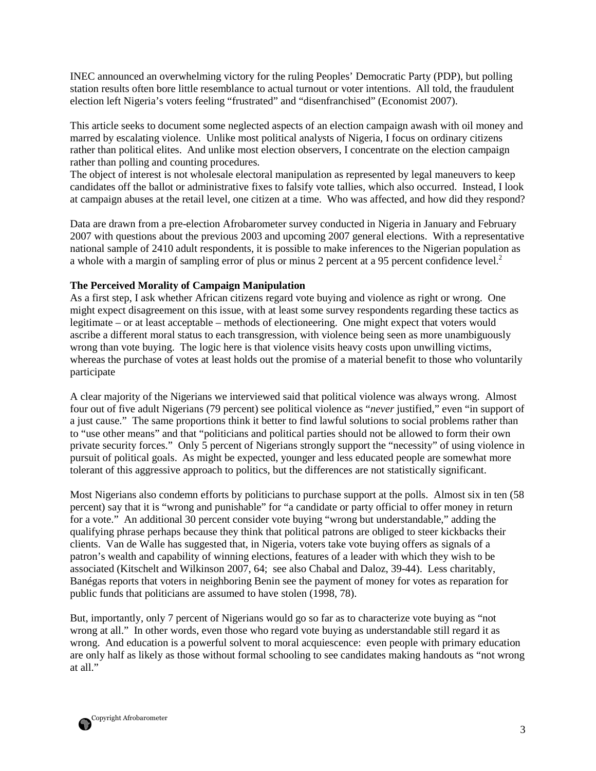INEC announced an overwhelming victory for the ruling Peoples' Democratic Party (PDP), but polling station results often bore little resemblance to actual turnout or voter intentions. All told, the fraudulent election left Nigeria's voters feeling "frustrated" and "disenfranchised" (Economist 2007).

This article seeks to document some neglected aspects of an election campaign awash with oil money and marred by escalating violence. Unlike most political analysts of Nigeria, I focus on ordinary citizens rather than political elites. And unlike most election observers, I concentrate on the election campaign rather than polling and counting procedures.

The object of interest is not wholesale electoral manipulation as represented by legal maneuvers to keep candidates off the ballot or administrative fixes to falsify vote tallies, which also occurred. Instead, I look at campaign abuses at the retail level, one citizen at a time. Who was affected, and how did they respond?

Data are drawn from a pre-election Afrobarometer survey conducted in Nigeria in January and February 2007 with questions about the previous 2003 and upcoming 2007 general elections. With a representative national sample of 2410 adult respondents, it is possible to make inferences to the Nigerian population as a whole with a margin of sampling error of plus or minus 2 percent at a 95 percent confidence level.<sup>2</sup>

# **The Perceived Morality of Campaign Manipulation**

As a first step, I ask whether African citizens regard vote buying and violence as right or wrong. One might expect disagreement on this issue, with at least some survey respondents regarding these tactics as legitimate – or at least acceptable – methods of electioneering. One might expect that voters would ascribe a different moral status to each transgression, with violence being seen as more unambiguously wrong than vote buying. The logic here is that violence visits heavy costs upon unwilling victims, whereas the purchase of votes at least holds out the promise of a material benefit to those who voluntarily participate

A clear majority of the Nigerians we interviewed said that political violence was always wrong. Almost four out of five adult Nigerians (79 percent) see political violence as "*never* justified," even "in support of a just cause." The same proportions think it better to find lawful solutions to social problems rather than to "use other means" and that "politicians and political parties should not be allowed to form their own private security forces." Only 5 percent of Nigerians strongly support the "necessity" of using violence in pursuit of political goals. As might be expected, younger and less educated people are somewhat more tolerant of this aggressive approach to politics, but the differences are not statistically significant.

Most Nigerians also condemn efforts by politicians to purchase support at the polls. Almost six in ten (58 percent) say that it is "wrong and punishable" for "a candidate or party official to offer money in return for a vote." An additional 30 percent consider vote buying "wrong but understandable," adding the qualifying phrase perhaps because they think that political patrons are obliged to steer kickbacks their clients. Van de Walle has suggested that, in Nigeria, voters take vote buying offers as signals of a patron's wealth and capability of winning elections, features of a leader with which they wish to be associated (Kitschelt and Wilkinson 2007, 64; see also Chabal and Daloz, 39-44). Less charitably, Banégas reports that voters in neighboring Benin see the payment of money for votes as reparation for public funds that politicians are assumed to have stolen (1998, 78).

But, importantly, only 7 percent of Nigerians would go so far as to characterize vote buying as "not wrong at all." In other words, even those who regard vote buying as understandable still regard it as wrong. And education is a powerful solvent to moral acquiescence: even people with primary education are only half as likely as those without formal schooling to see candidates making handouts as "not wrong at all."

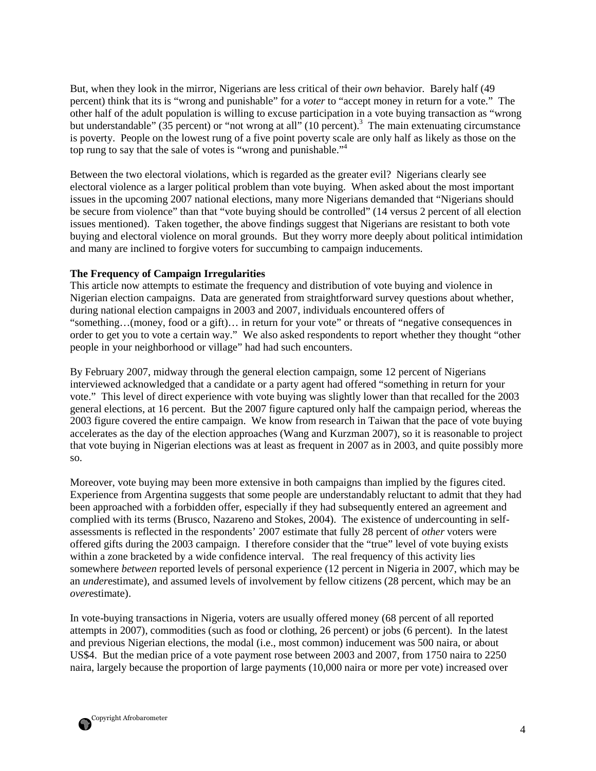But, when they look in the mirror, Nigerians are less critical of their *own* behavior. Barely half (49 percent) think that its is "wrong and punishable" for a *voter* to "accept money in return for a vote." The other half of the adult population is willing to excuse participation in a vote buying transaction as "wrong but understandable" ( $35$  percent) or "not wrong at all" (10 percent).<sup>3</sup> The main extenuating circumstance is poverty. People on the lowest rung of a five point poverty scale are only half as likely as those on the top rung to say that the sale of votes is "wrong and punishable."<sup>4</sup>

Between the two electoral violations, which is regarded as the greater evil? Nigerians clearly see electoral violence as a larger political problem than vote buying. When asked about the most important issues in the upcoming 2007 national elections, many more Nigerians demanded that "Nigerians should be secure from violence" than that "vote buying should be controlled" (14 versus 2 percent of all election issues mentioned). Taken together, the above findings suggest that Nigerians are resistant to both vote buying and electoral violence on moral grounds. But they worry more deeply about political intimidation and many are inclined to forgive voters for succumbing to campaign inducements.

#### **The Frequency of Campaign Irregularities**

This article now attempts to estimate the frequency and distribution of vote buying and violence in Nigerian election campaigns. Data are generated from straightforward survey questions about whether, during national election campaigns in 2003 and 2007, individuals encountered offers of "something…(money, food or a gift)… in return for your vote" or threats of "negative consequences in order to get you to vote a certain way." We also asked respondents to report whether they thought "other people in your neighborhood or village" had had such encounters.

By February 2007, midway through the general election campaign, some 12 percent of Nigerians interviewed acknowledged that a candidate or a party agent had offered "something in return for your vote." This level of direct experience with vote buying was slightly lower than that recalled for the 2003 general elections, at 16 percent. But the 2007 figure captured only half the campaign period, whereas the 2003 figure covered the entire campaign. We know from research in Taiwan that the pace of vote buying accelerates as the day of the election approaches (Wang and Kurzman 2007), so it is reasonable to project that vote buying in Nigerian elections was at least as frequent in 2007 as in 2003, and quite possibly more so.

Moreover, vote buying may been more extensive in both campaigns than implied by the figures cited. Experience from Argentina suggests that some people are understandably reluctant to admit that they had been approached with a forbidden offer, especially if they had subsequently entered an agreement and complied with its terms (Brusco, Nazareno and Stokes, 2004). The existence of undercounting in selfassessments is reflected in the respondents' 2007 estimate that fully 28 percent of *other* voters were offered gifts during the 2003 campaign. I therefore consider that the "true" level of vote buying exists within a zone bracketed by a wide confidence interval. The real frequency of this activity lies somewhere *between* reported levels of personal experience (12 percent in Nigeria in 2007, which may be an *under*estimate), and assumed levels of involvement by fellow citizens (28 percent, which may be an *over*estimate).

In vote-buying transactions in Nigeria, voters are usually offered money (68 percent of all reported attempts in 2007), commodities (such as food or clothing, 26 percent) or jobs (6 percent). In the latest and previous Nigerian elections, the modal (i.e., most common) inducement was 500 naira, or about US\$4. But the median price of a vote payment rose between 2003 and 2007, from 1750 naira to 2250 naira, largely because the proportion of large payments (10,000 naira or more per vote) increased over

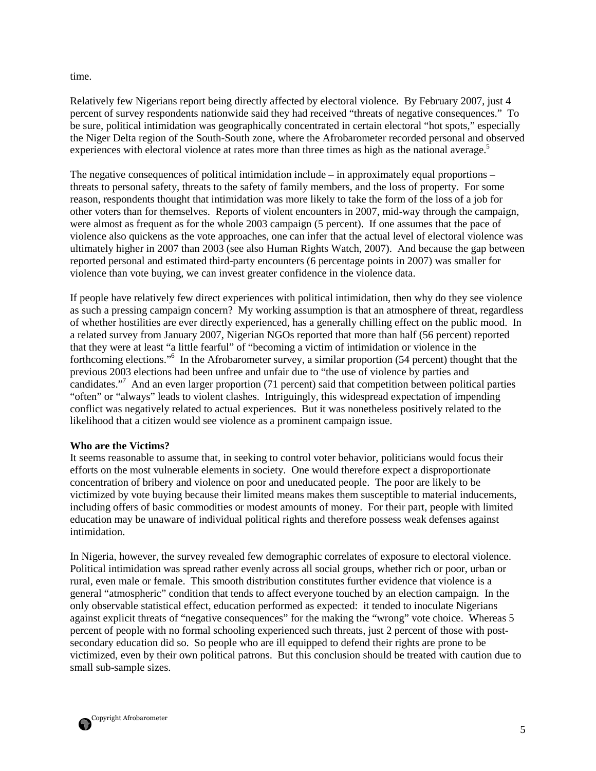time.

Relatively few Nigerians report being directly affected by electoral violence. By February 2007, just 4 percent of survey respondents nationwide said they had received "threats of negative consequences." To be sure, political intimidation was geographically concentrated in certain electoral "hot spots," especially the Niger Delta region of the South-South zone, where the Afrobarometer recorded personal and observed experiences with electoral violence at rates more than three times as high as the national average.<sup>5</sup>

The negative consequences of political intimidation include – in approximately equal proportions – threats to personal safety, threats to the safety of family members, and the loss of property. For some reason, respondents thought that intimidation was more likely to take the form of the loss of a job for other voters than for themselves. Reports of violent encounters in 2007, mid-way through the campaign, were almost as frequent as for the whole 2003 campaign (5 percent). If one assumes that the pace of violence also quickens as the vote approaches, one can infer that the actual level of electoral violence was ultimately higher in 2007 than 2003 (see also Human Rights Watch, 2007). And because the gap between reported personal and estimated third-party encounters (6 percentage points in 2007) was smaller for violence than vote buying, we can invest greater confidence in the violence data.

If people have relatively few direct experiences with political intimidation, then why do they see violence as such a pressing campaign concern? My working assumption is that an atmosphere of threat, regardless of whether hostilities are ever directly experienced, has a generally chilling effect on the public mood. In a related survey from January 2007, Nigerian NGOs reported that more than half (56 percent) reported that they were at least "a little fearful" of "becoming a victim of intimidation or violence in the forthcoming elections."<sup>6</sup> In the Afrobarometer survey, a similar proportion (54 percent) thought that the previous 2003 elections had been unfree and unfair due to "the use of violence by parties and candidates."<sup>7</sup> And an even larger proportion (71 percent) said that competition between political parties "often" or "always" leads to violent clashes. Intriguingly, this widespread expectation of impending conflict was negatively related to actual experiences. But it was nonetheless positively related to the likelihood that a citizen would see violence as a prominent campaign issue.

#### **Who are the Victims?**

It seems reasonable to assume that, in seeking to control voter behavior, politicians would focus their efforts on the most vulnerable elements in society. One would therefore expect a disproportionate concentration of bribery and violence on poor and uneducated people. The poor are likely to be victimized by vote buying because their limited means makes them susceptible to material inducements, including offers of basic commodities or modest amounts of money. For their part, people with limited education may be unaware of individual political rights and therefore possess weak defenses against intimidation.

In Nigeria, however, the survey revealed few demographic correlates of exposure to electoral violence. Political intimidation was spread rather evenly across all social groups, whether rich or poor, urban or rural, even male or female. This smooth distribution constitutes further evidence that violence is a general "atmospheric" condition that tends to affect everyone touched by an election campaign. In the only observable statistical effect, education performed as expected: it tended to inoculate Nigerians against explicit threats of "negative consequences" for the making the "wrong" vote choice. Whereas 5 percent of people with no formal schooling experienced such threats, just 2 percent of those with postsecondary education did so. So people who are ill equipped to defend their rights are prone to be victimized, even by their own political patrons. But this conclusion should be treated with caution due to small sub-sample sizes.

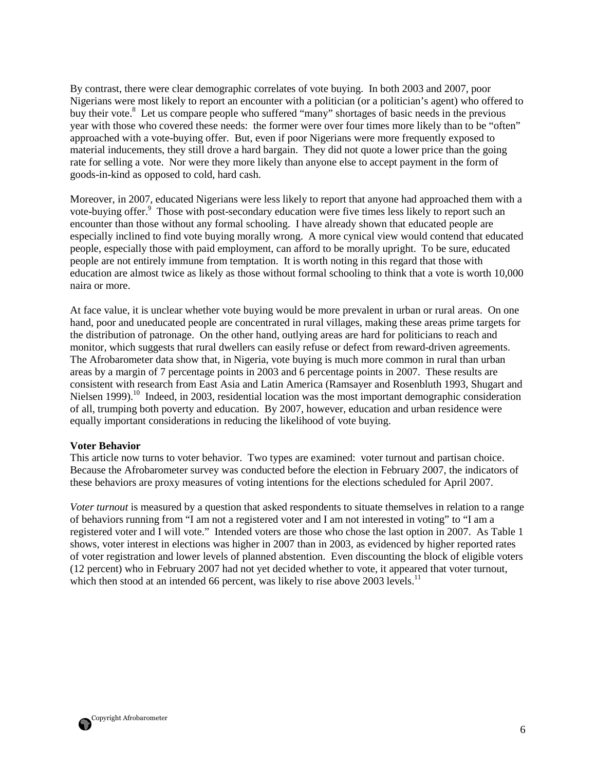By contrast, there were clear demographic correlates of vote buying. In both 2003 and 2007, poor Nigerians were most likely to report an encounter with a politician (or a politician's agent) who offered to buy their vote.<sup>8</sup> Let us compare people who suffered "many" shortages of basic needs in the previous year with those who covered these needs: the former were over four times more likely than to be "often" approached with a vote-buying offer. But, even if poor Nigerians were more frequently exposed to material inducements, they still drove a hard bargain. They did not quote a lower price than the going rate for selling a vote. Nor were they more likely than anyone else to accept payment in the form of goods-in-kind as opposed to cold, hard cash.

Moreover, in 2007, educated Nigerians were less likely to report that anyone had approached them with a vote-buying offer.<sup>9</sup> Those with post-secondary education were five times less likely to report such an encounter than those without any formal schooling. I have already shown that educated people are especially inclined to find vote buying morally wrong. A more cynical view would contend that educated people, especially those with paid employment, can afford to be morally upright. To be sure, educated people are not entirely immune from temptation. It is worth noting in this regard that those with education are almost twice as likely as those without formal schooling to think that a vote is worth 10,000 naira or more.

At face value, it is unclear whether vote buying would be more prevalent in urban or rural areas. On one hand, poor and uneducated people are concentrated in rural villages, making these areas prime targets for the distribution of patronage. On the other hand, outlying areas are hard for politicians to reach and monitor, which suggests that rural dwellers can easily refuse or defect from reward-driven agreements. The Afrobarometer data show that, in Nigeria, vote buying is much more common in rural than urban areas by a margin of 7 percentage points in 2003 and 6 percentage points in 2007. These results are consistent with research from East Asia and Latin America (Ramsayer and Rosenbluth 1993, Shugart and Nielsen 1999).<sup>10</sup> Indeed, in 2003, residential location was the most important demographic consideration of all, trumping both poverty and education. By 2007, however, education and urban residence were equally important considerations in reducing the likelihood of vote buying.

#### **Voter Behavior**

This article now turns to voter behavior. Two types are examined: voter turnout and partisan choice. Because the Afrobarometer survey was conducted before the election in February 2007, the indicators of these behaviors are proxy measures of voting intentions for the elections scheduled for April 2007.

*Voter turnout* is measured by a question that asked respondents to situate themselves in relation to a range of behaviors running from "I am not a registered voter and I am not interested in voting" to "I am a registered voter and I will vote." Intended voters are those who chose the last option in 2007. As Table 1 shows, voter interest in elections was higher in 2007 than in 2003, as evidenced by higher reported rates of voter registration and lower levels of planned abstention. Even discounting the block of eligible voters (12 percent) who in February 2007 had not yet decided whether to vote, it appeared that voter turnout, which then stood at an intended 66 percent, was likely to rise above 2003 levels.<sup>11</sup>

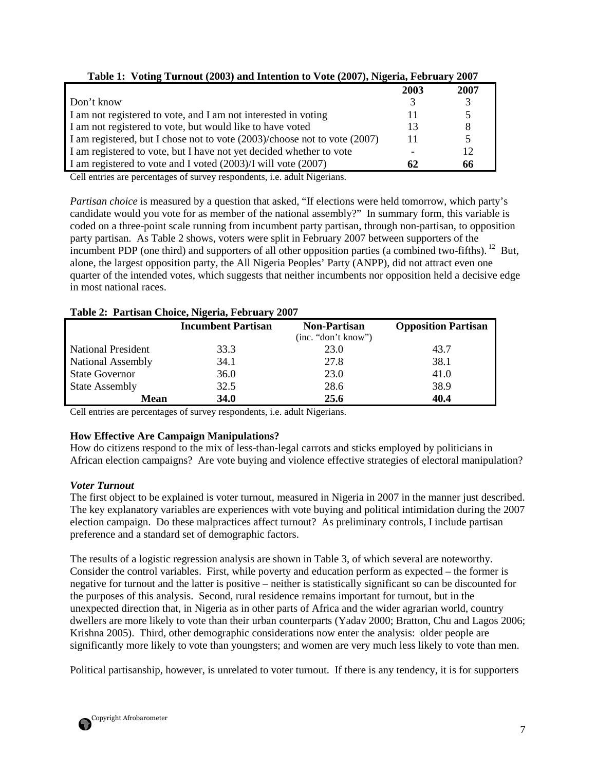| <b>Table 1.</b> Young Turnout (2003) and Intention to Yote (2007), ingerial February 2007 |              |      |
|-------------------------------------------------------------------------------------------|--------------|------|
|                                                                                           | 2003         | 2007 |
| Don't know                                                                                |              |      |
| I am not registered to vote, and I am not interested in voting                            |              |      |
| I am not registered to vote, but would like to have voted                                 |              | 8    |
| I am registered, but I chose not to vote (2003)/choose not to vote (2007)                 | $\mathbf{I}$ |      |
| I am registered to vote, but I have not yet decided whether to vote                       |              | 12   |
| I am registered to vote and I voted (2003)/I will vote (2007)                             | 62           | 66   |

| Table 1: Voting Turnout (2003) and Intention to Vote (2007), Nigeria, February 2007 |  |
|-------------------------------------------------------------------------------------|--|
|-------------------------------------------------------------------------------------|--|

Cell entries are percentages of survey respondents, i.e. adult Nigerians.

*Partisan choice* is measured by a question that asked, "If elections were held tomorrow, which party's candidate would you vote for as member of the national assembly?" In summary form, this variable is coded on a three-point scale running from incumbent party partisan, through non-partisan, to opposition party partisan. As Table 2 shows, voters were split in February 2007 between supporters of the incumbent PDP (one third) and supporters of all other opposition parties (a combined two-fifths).<sup>12</sup> But, alone, the largest opposition party, the All Nigeria Peoples' Party (ANPP), did not attract even one quarter of the intended votes, which suggests that neither incumbents nor opposition held a decisive edge in most national races.

| $\frac{1}{2}$ and $\frac{1}{2}$ and $\frac{1}{2}$ and $\frac{1}{2}$ and $\frac{1}{2}$ and $\frac{1}{2}$ and $\frac{1}{2}$ and $\frac{1}{2}$ and $\frac{1}{2}$ and $\frac{1}{2}$ and $\frac{1}{2}$ and $\frac{1}{2}$ and $\frac{1}{2}$ and $\frac{1}{2}$ and $\frac{1}{2}$ and $\frac{1}{2}$ a |                           |                                            |                            |  |  |  |
|-----------------------------------------------------------------------------------------------------------------------------------------------------------------------------------------------------------------------------------------------------------------------------------------------|---------------------------|--------------------------------------------|----------------------------|--|--|--|
|                                                                                                                                                                                                                                                                                               | <b>Incumbent Partisan</b> | <b>Non-Partisan</b><br>(inc. "don't know") | <b>Opposition Partisan</b> |  |  |  |
| <b>National President</b>                                                                                                                                                                                                                                                                     | 33.3                      | 23.0                                       | 43.7                       |  |  |  |
| <b>National Assembly</b>                                                                                                                                                                                                                                                                      | 34.1                      | 27.8                                       | 38.1                       |  |  |  |
| <b>State Governor</b>                                                                                                                                                                                                                                                                         | 36.0                      | 23.0                                       | 41.0                       |  |  |  |
| <b>State Assembly</b>                                                                                                                                                                                                                                                                         | 32.5                      | 28.6                                       | 38.9                       |  |  |  |
| <b>Mean</b>                                                                                                                                                                                                                                                                                   | <b>34.0</b>               | 25.6                                       | 40.4                       |  |  |  |

#### **Table 2: Partisan Choice, Nigeria, February 2007**

Cell entries are percentages of survey respondents, i.e. adult Nigerians.

# **How Effective Are Campaign Manipulations?**

How do citizens respond to the mix of less-than-legal carrots and sticks employed by politicians in African election campaigns? Are vote buying and violence effective strategies of electoral manipulation?

# *Voter Turnout*

The first object to be explained is voter turnout, measured in Nigeria in 2007 in the manner just described. The key explanatory variables are experiences with vote buying and political intimidation during the 2007 election campaign. Do these malpractices affect turnout? As preliminary controls, I include partisan preference and a standard set of demographic factors.

The results of a logistic regression analysis are shown in Table 3, of which several are noteworthy. Consider the control variables. First, while poverty and education perform as expected – the former is negative for turnout and the latter is positive – neither is statistically significant so can be discounted for the purposes of this analysis. Second, rural residence remains important for turnout, but in the unexpected direction that, in Nigeria as in other parts of Africa and the wider agrarian world, country dwellers are more likely to vote than their urban counterparts (Yadav 2000; Bratton, Chu and Lagos 2006; Krishna 2005). Third, other demographic considerations now enter the analysis: older people are significantly more likely to vote than youngsters; and women are very much less likely to vote than men.

Political partisanship, however, is unrelated to voter turnout. If there is any tendency, it is for supporters

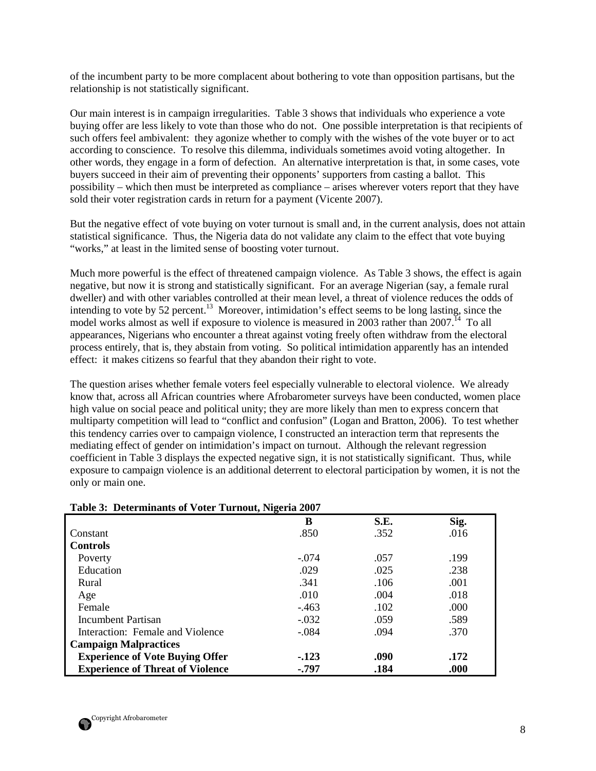of the incumbent party to be more complacent about bothering to vote than opposition partisans, but the relationship is not statistically significant.

Our main interest is in campaign irregularities. Table 3 shows that individuals who experience a vote buying offer are less likely to vote than those who do not. One possible interpretation is that recipients of such offers feel ambivalent: they agonize whether to comply with the wishes of the vote buyer or to act according to conscience. To resolve this dilemma, individuals sometimes avoid voting altogether. In other words, they engage in a form of defection. An alternative interpretation is that, in some cases, vote buyers succeed in their aim of preventing their opponents' supporters from casting a ballot. This possibility – which then must be interpreted as compliance – arises wherever voters report that they have sold their voter registration cards in return for a payment (Vicente 2007).

But the negative effect of vote buying on voter turnout is small and, in the current analysis, does not attain statistical significance. Thus, the Nigeria data do not validate any claim to the effect that vote buying "works," at least in the limited sense of boosting voter turnout.

Much more powerful is the effect of threatened campaign violence. As Table 3 shows, the effect is again negative, but now it is strong and statistically significant. For an average Nigerian (say, a female rural dweller) and with other variables controlled at their mean level, a threat of violence reduces the odds of intending to vote by 52 percent.<sup>13</sup> Moreover, intimidation's effect seems to be long lasting, since the model works almost as well if exposure to violence is measured in 2003 rather than  $2007<sup>14</sup>$  To all appearances, Nigerians who encounter a threat against voting freely often withdraw from the electoral process entirely, that is, they abstain from voting. So political intimidation apparently has an intended effect: it makes citizens so fearful that they abandon their right to vote.

The question arises whether female voters feel especially vulnerable to electoral violence. We already know that, across all African countries where Afrobarometer surveys have been conducted, women place high value on social peace and political unity; they are more likely than men to express concern that multiparty competition will lead to "conflict and confusion" (Logan and Bratton, 2006). To test whether this tendency carries over to campaign violence, I constructed an interaction term that represents the mediating effect of gender on intimidation's impact on turnout. Although the relevant regression coefficient in Table 3 displays the expected negative sign, it is not statistically significant. Thus, while exposure to campaign violence is an additional deterrent to electoral participation by women, it is not the only or main one.

| Tuble of Determinance of $\tau$ oter Turnout, Fugeria 2007 |         |      |      |
|------------------------------------------------------------|---------|------|------|
|                                                            | B       | S.E. | Sig. |
| Constant                                                   | .850    | .352 | .016 |
| <b>Controls</b>                                            |         |      |      |
| Poverty                                                    | $-.074$ | .057 | .199 |
| Education                                                  | .029    | .025 | .238 |
| Rural                                                      | .341    | .106 | .001 |
| Age                                                        | .010    | .004 | .018 |
| Female                                                     | $-463$  | .102 | .000 |
| Incumbent Partisan                                         | $-.032$ | .059 | .589 |
| Interaction: Female and Violence                           | $-.084$ | .094 | .370 |
| <b>Campaign Malpractices</b>                               |         |      |      |
| <b>Experience of Vote Buying Offer</b>                     | $-123$  | .090 | .172 |
| <b>Experience of Threat of Violence</b>                    | $-.797$ | .184 | .000 |

# **Table 3: Determinants of Voter Turnout, Nigeria 2007**

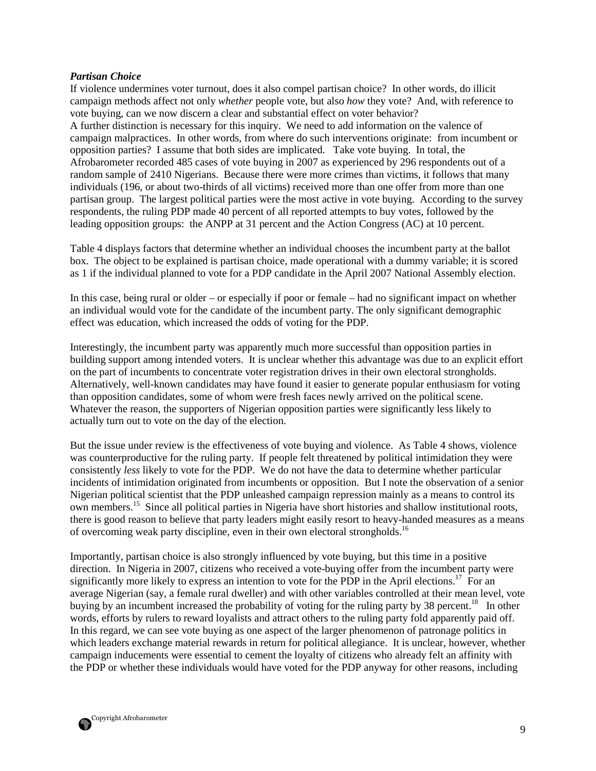#### *Partisan Choice*

If violence undermines voter turnout, does it also compel partisan choice? In other words, do illicit campaign methods affect not only *whether* people vote, but also *how* they vote? And, with reference to vote buying, can we now discern a clear and substantial effect on voter behavior? A further distinction is necessary for this inquiry. We need to add information on the valence of campaign malpractices. In other words, from where do such interventions originate: from incumbent or opposition parties? I assume that both sides are implicated. Take vote buying. In total, the Afrobarometer recorded 485 cases of vote buying in 2007 as experienced by 296 respondents out of a random sample of 2410 Nigerians. Because there were more crimes than victims, it follows that many individuals (196, or about two-thirds of all victims) received more than one offer from more than one partisan group. The largest political parties were the most active in vote buying. According to the survey respondents, the ruling PDP made 40 percent of all reported attempts to buy votes, followed by the leading opposition groups: the ANPP at 31 percent and the Action Congress (AC) at 10 percent.

Table 4 displays factors that determine whether an individual chooses the incumbent party at the ballot box. The object to be explained is partisan choice, made operational with a dummy variable; it is scored as 1 if the individual planned to vote for a PDP candidate in the April 2007 National Assembly election.

In this case, being rural or older – or especially if poor or female – had no significant impact on whether an individual would vote for the candidate of the incumbent party. The only significant demographic effect was education, which increased the odds of voting for the PDP.

Interestingly, the incumbent party was apparently much more successful than opposition parties in building support among intended voters. It is unclear whether this advantage was due to an explicit effort on the part of incumbents to concentrate voter registration drives in their own electoral strongholds. Alternatively, well-known candidates may have found it easier to generate popular enthusiasm for voting than opposition candidates, some of whom were fresh faces newly arrived on the political scene. Whatever the reason, the supporters of Nigerian opposition parties were significantly less likely to actually turn out to vote on the day of the election.

But the issue under review is the effectiveness of vote buying and violence. As Table 4 shows, violence was counterproductive for the ruling party. If people felt threatened by political intimidation they were consistently *less* likely to vote for the PDP. We do not have the data to determine whether particular incidents of intimidation originated from incumbents or opposition. But I note the observation of a senior Nigerian political scientist that the PDP unleashed campaign repression mainly as a means to control its own members.<sup>15</sup> Since all political parties in Nigeria have short histories and shallow institutional roots, there is good reason to believe that party leaders might easily resort to heavy-handed measures as a means of overcoming weak party discipline, even in their own electoral strongholds.<sup>16</sup>

Importantly, partisan choice is also strongly influenced by vote buying, but this time in a positive direction. In Nigeria in 2007, citizens who received a vote-buying offer from the incumbent party were significantly more likely to express an intention to vote for the PDP in the April elections.<sup>17</sup> For an average Nigerian (say, a female rural dweller) and with other variables controlled at their mean level, vote buying by an incumbent increased the probability of voting for the ruling party by 38 percent.<sup>18</sup> In other words, efforts by rulers to reward loyalists and attract others to the ruling party fold apparently paid off. In this regard, we can see vote buying as one aspect of the larger phenomenon of patronage politics in which leaders exchange material rewards in return for political allegiance. It is unclear, however, whether campaign inducements were essential to cement the loyalty of citizens who already felt an affinity with the PDP or whether these individuals would have voted for the PDP anyway for other reasons, including

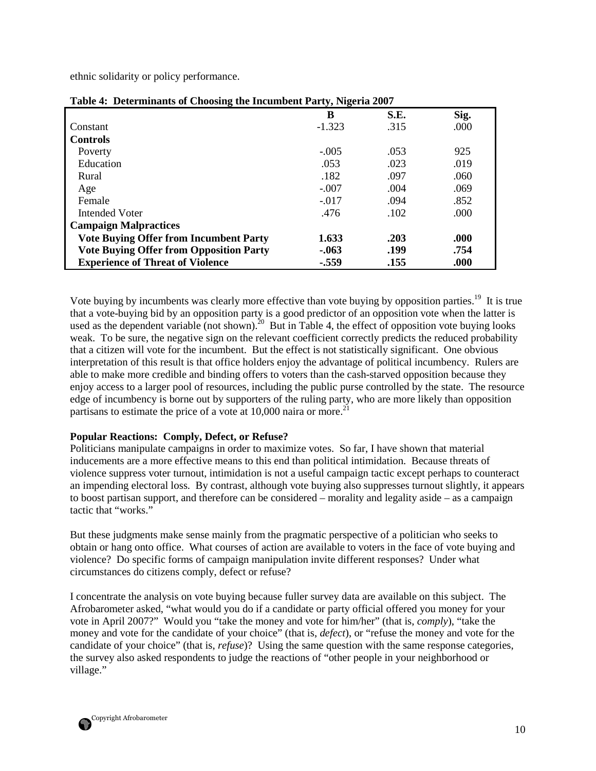ethnic solidarity or policy performance.

|                                                | - , ,    |      |      |
|------------------------------------------------|----------|------|------|
|                                                | B        | S.E. | Sig. |
| Constant                                       | $-1.323$ | .315 | .000 |
| <b>Controls</b>                                |          |      |      |
| Poverty                                        | $-.005$  | .053 | 925  |
| Education                                      | .053     | .023 | .019 |
| Rural                                          | .182     | .097 | .060 |
| Age                                            | $-.007$  | .004 | .069 |
| Female                                         | $-.017$  | .094 | .852 |
| Intended Voter                                 | .476     | .102 | .000 |
| <b>Campaign Malpractices</b>                   |          |      |      |
| <b>Vote Buying Offer from Incumbent Party</b>  | 1.633    | .203 | .000 |
| <b>Vote Buying Offer from Opposition Party</b> | $-0.063$ | .199 | .754 |
| <b>Experience of Threat of Violence</b>        | $-.559$  | .155 | .000 |

| Table 4: Determinants of Choosing the Incumbent Party, Nigeria 2007 |  |  |  |
|---------------------------------------------------------------------|--|--|--|
|                                                                     |  |  |  |

Vote buying by incumbents was clearly more effective than vote buying by opposition parties.<sup>19</sup> It is true that a vote-buying bid by an opposition party is a good predictor of an opposition vote when the latter is used as the dependent variable (not shown).<sup>20</sup> But in Table 4, the effect of opposition vote buying looks weak. To be sure, the negative sign on the relevant coefficient correctly predicts the reduced probability that a citizen will vote for the incumbent. But the effect is not statistically significant. One obvious interpretation of this result is that office holders enjoy the advantage of political incumbency. Rulers are able to make more credible and binding offers to voters than the cash-starved opposition because they enjoy access to a larger pool of resources, including the public purse controlled by the state. The resource edge of incumbency is borne out by supporters of the ruling party, who are more likely than opposition partisans to estimate the price of a vote at  $10,000$  naira or more.<sup>21</sup>

# **Popular Reactions: Comply, Defect, or Refuse?**

Politicians manipulate campaigns in order to maximize votes. So far, I have shown that material inducements are a more effective means to this end than political intimidation. Because threats of violence suppress voter turnout, intimidation is not a useful campaign tactic except perhaps to counteract an impending electoral loss. By contrast, although vote buying also suppresses turnout slightly, it appears to boost partisan support, and therefore can be considered – morality and legality aside – as a campaign tactic that "works."

But these judgments make sense mainly from the pragmatic perspective of a politician who seeks to obtain or hang onto office. What courses of action are available to voters in the face of vote buying and violence? Do specific forms of campaign manipulation invite different responses? Under what circumstances do citizens comply, defect or refuse?

I concentrate the analysis on vote buying because fuller survey data are available on this subject. The Afrobarometer asked, "what would you do if a candidate or party official offered you money for your vote in April 2007?" Would you "take the money and vote for him/her" (that is, *comply*), "take the money and vote for the candidate of your choice" (that is, *defect*), or "refuse the money and vote for the candidate of your choice" (that is, *refuse*)? Using the same question with the same response categories, the survey also asked respondents to judge the reactions of "other people in your neighborhood or village."

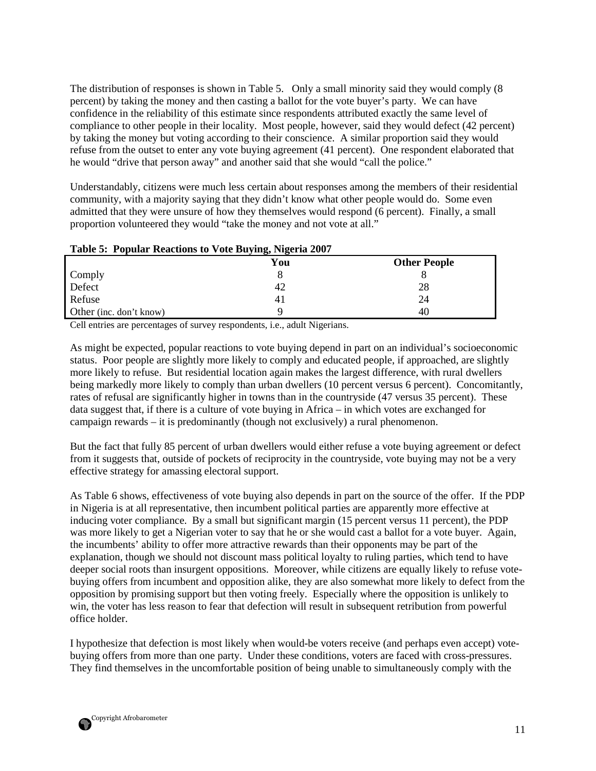The distribution of responses is shown in Table 5. Only a small minority said they would comply (8 percent) by taking the money and then casting a ballot for the vote buyer's party. We can have confidence in the reliability of this estimate since respondents attributed exactly the same level of compliance to other people in their locality. Most people, however, said they would defect (42 percent) by taking the money but voting according to their conscience. A similar proportion said they would refuse from the outset to enter any vote buying agreement (41 percent). One respondent elaborated that he would "drive that person away" and another said that she would "call the police."

Understandably, citizens were much less certain about responses among the members of their residential community, with a majority saying that they didn't know what other people would do. Some even admitted that they were unsure of how they themselves would respond (6 percent). Finally, a small proportion volunteered they would "take the money and not vote at all."

|  |  | Table 5: Popular Reactions to Vote Buying, Nigeria 2007 |
|--|--|---------------------------------------------------------|
|  |  |                                                         |

|                         | $\cdots$<br>.<br>You | <b>Other People</b> |
|-------------------------|----------------------|---------------------|
| Comply                  |                      |                     |
| Defect                  | 42                   | 28                  |
| Refuse                  | 41                   | 24                  |
| Other (inc. don't know) |                      | 40                  |

Cell entries are percentages of survey respondents, i.e., adult Nigerians.

As might be expected, popular reactions to vote buying depend in part on an individual's socioeconomic status. Poor people are slightly more likely to comply and educated people, if approached, are slightly more likely to refuse. But residential location again makes the largest difference, with rural dwellers being markedly more likely to comply than urban dwellers (10 percent versus 6 percent). Concomitantly, rates of refusal are significantly higher in towns than in the countryside (47 versus 35 percent). These data suggest that, if there is a culture of vote buying in Africa – in which votes are exchanged for campaign rewards – it is predominantly (though not exclusively) a rural phenomenon.

But the fact that fully 85 percent of urban dwellers would either refuse a vote buying agreement or defect from it suggests that, outside of pockets of reciprocity in the countryside, vote buying may not be a very effective strategy for amassing electoral support.

As Table 6 shows, effectiveness of vote buying also depends in part on the source of the offer. If the PDP in Nigeria is at all representative, then incumbent political parties are apparently more effective at inducing voter compliance. By a small but significant margin (15 percent versus 11 percent), the PDP was more likely to get a Nigerian voter to say that he or she would cast a ballot for a vote buyer. Again, the incumbents' ability to offer more attractive rewards than their opponents may be part of the explanation, though we should not discount mass political loyalty to ruling parties, which tend to have deeper social roots than insurgent oppositions. Moreover, while citizens are equally likely to refuse votebuying offers from incumbent and opposition alike, they are also somewhat more likely to defect from the opposition by promising support but then voting freely. Especially where the opposition is unlikely to win, the voter has less reason to fear that defection will result in subsequent retribution from powerful office holder.

I hypothesize that defection is most likely when would-be voters receive (and perhaps even accept) votebuying offers from more than one party. Under these conditions, voters are faced with cross-pressures. They find themselves in the uncomfortable position of being unable to simultaneously comply with the

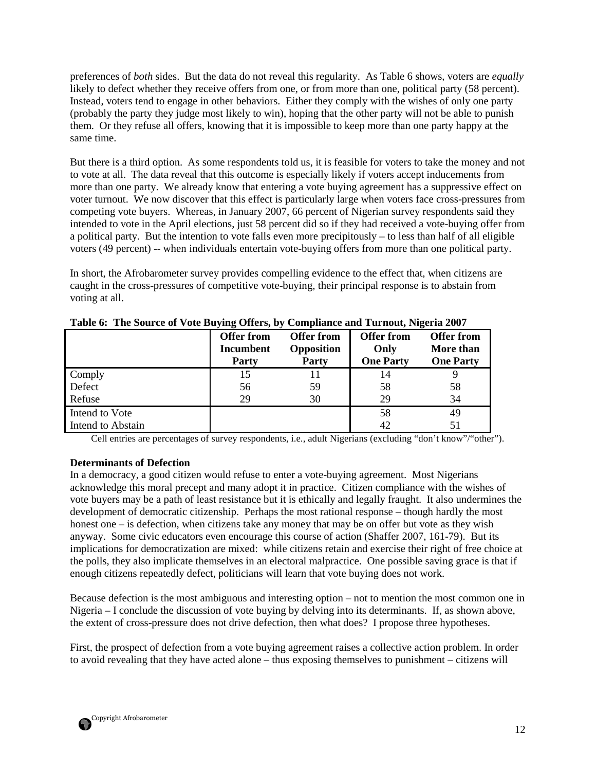preferences of *both* sides. But the data do not reveal this regularity. As Table 6 shows, voters are *equally* likely to defect whether they receive offers from one, or from more than one, political party (58 percent). Instead, voters tend to engage in other behaviors. Either they comply with the wishes of only one party (probably the party they judge most likely to win), hoping that the other party will not be able to punish them. Or they refuse all offers, knowing that it is impossible to keep more than one party happy at the same time.

But there is a third option. As some respondents told us, it is feasible for voters to take the money and not to vote at all. The data reveal that this outcome is especially likely if voters accept inducements from more than one party. We already know that entering a vote buying agreement has a suppressive effect on voter turnout. We now discover that this effect is particularly large when voters face cross-pressures from competing vote buyers. Whereas, in January 2007, 66 percent of Nigerian survey respondents said they intended to vote in the April elections, just 58 percent did so if they had received a vote-buying offer from a political party. But the intention to vote falls even more precipitously – to less than half of all eligible voters (49 percent) -- when individuals entertain vote-buying offers from more than one political party.

In short, the Afrobarometer survey provides compelling evidence to the effect that, when citizens are caught in the cross-pressures of competitive vote-buying, their principal response is to abstain from voting at all.

|                   | <b>Offer from</b><br><b>Incumbent</b><br>Party | <b>Offer from</b><br>Opposition<br>Party | <b>Offer from</b><br>Only<br><b>One Party</b> | <b>Offer from</b><br>More than<br><b>One Party</b> |
|-------------------|------------------------------------------------|------------------------------------------|-----------------------------------------------|----------------------------------------------------|
| Comply            | 15                                             |                                          | 14                                            |                                                    |
| Defect            | 56                                             | 59                                       | 58                                            | 58                                                 |
| Refuse            | 29                                             | 30                                       | 29                                            | 34                                                 |
| Intend to Vote    |                                                |                                          | 58                                            | 49                                                 |
| Intend to Abstain |                                                |                                          | 42                                            | 51                                                 |

|  |  | Table 6: The Source of Vote Buying Offers, by Compliance and Turnout, Nigeria 2007 |  |
|--|--|------------------------------------------------------------------------------------|--|
|  |  |                                                                                    |  |

Cell entries are percentages of survey respondents, i.e., adult Nigerians (excluding "don't know"/"other").

# **Determinants of Defection**

In a democracy, a good citizen would refuse to enter a vote-buying agreement. Most Nigerians acknowledge this moral precept and many adopt it in practice. Citizen compliance with the wishes of vote buyers may be a path of least resistance but it is ethically and legally fraught. It also undermines the development of democratic citizenship. Perhaps the most rational response – though hardly the most honest one – is defection, when citizens take any money that may be on offer but vote as they wish anyway. Some civic educators even encourage this course of action (Shaffer 2007, 161-79). But its implications for democratization are mixed: while citizens retain and exercise their right of free choice at the polls, they also implicate themselves in an electoral malpractice. One possible saving grace is that if enough citizens repeatedly defect, politicians will learn that vote buying does not work.

Because defection is the most ambiguous and interesting option – not to mention the most common one in Nigeria – I conclude the discussion of vote buying by delving into its determinants. If, as shown above, the extent of cross-pressure does not drive defection, then what does? I propose three hypotheses.

First, the prospect of defection from a vote buying agreement raises a collective action problem. In order to avoid revealing that they have acted alone – thus exposing themselves to punishment – citizens will

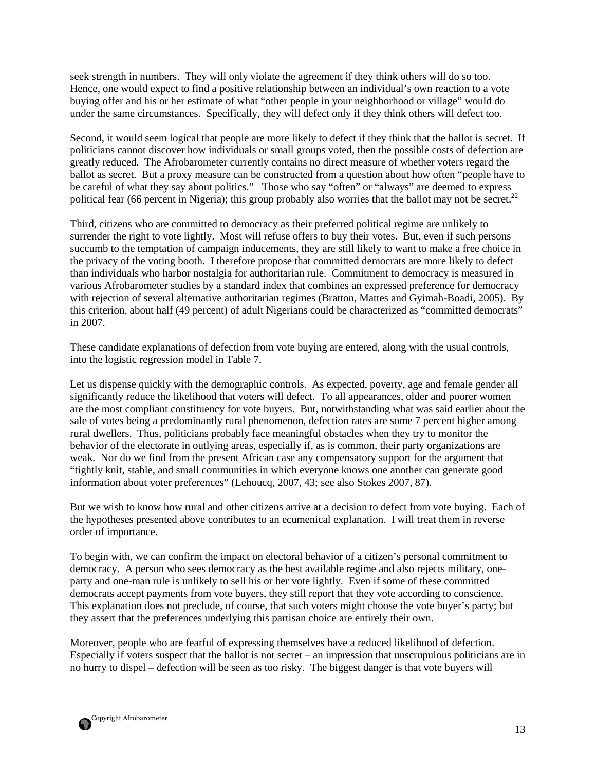seek strength in numbers. They will only violate the agreement if they think others will do so too. Hence, one would expect to find a positive relationship between an individual's own reaction to a vote buying offer and his or her estimate of what "other people in your neighborhood or village" would do under the same circumstances. Specifically, they will defect only if they think others will defect too.

Second, it would seem logical that people are more likely to defect if they think that the ballot is secret. If politicians cannot discover how individuals or small groups voted, then the possible costs of defection are greatly reduced. The Afrobarometer currently contains no direct measure of whether voters regard the ballot as secret. But a proxy measure can be constructed from a question about how often "people have to be careful of what they say about politics." Those who say "often" or "always" are deemed to express political fear (66 percent in Nigeria); this group probably also worries that the ballot may not be secret.<sup>22</sup>

Third, citizens who are committed to democracy as their preferred political regime are unlikely to surrender the right to vote lightly. Most will refuse offers to buy their votes. But, even if such persons succumb to the temptation of campaign inducements, they are still likely to want to make a free choice in the privacy of the voting booth. I therefore propose that committed democrats are more likely to defect than individuals who harbor nostalgia for authoritarian rule. Commitment to democracy is measured in various Afrobarometer studies by a standard index that combines an expressed preference for democracy with rejection of several alternative authoritarian regimes (Bratton, Mattes and Gyimah-Boadi, 2005). By this criterion, about half (49 percent) of adult Nigerians could be characterized as "committed democrats" in 2007.

These candidate explanations of defection from vote buying are entered, along with the usual controls, into the logistic regression model in Table 7.

Let us dispense quickly with the demographic controls. As expected, poverty, age and female gender all significantly reduce the likelihood that voters will defect. To all appearances, older and poorer women are the most compliant constituency for vote buyers. But, notwithstanding what was said earlier about the sale of votes being a predominantly rural phenomenon, defection rates are some 7 percent higher among rural dwellers. Thus, politicians probably face meaningful obstacles when they try to monitor the behavior of the electorate in outlying areas, especially if, as is common, their party organizations are weak. Nor do we find from the present African case any compensatory support for the argument that "tightly knit, stable, and small communities in which everyone knows one another can generate good information about voter preferences" (Lehoucq, 2007, 43; see also Stokes 2007, 87).

But we wish to know how rural and other citizens arrive at a decision to defect from vote buying. Each of the hypotheses presented above contributes to an ecumenical explanation. I will treat them in reverse order of importance.

To begin with, we can confirm the impact on electoral behavior of a citizen's personal commitment to democracy. A person who sees democracy as the best available regime and also rejects military, oneparty and one-man rule is unlikely to sell his or her vote lightly. Even if some of these committed democrats accept payments from vote buyers, they still report that they vote according to conscience. This explanation does not preclude, of course, that such voters might choose the vote buyer's party; but they assert that the preferences underlying this partisan choice are entirely their own.

Moreover, people who are fearful of expressing themselves have a reduced likelihood of defection. Especially if voters suspect that the ballot is not secret – an impression that unscrupulous politicians are in no hurry to dispel – defection will be seen as too risky. The biggest danger is that vote buyers will

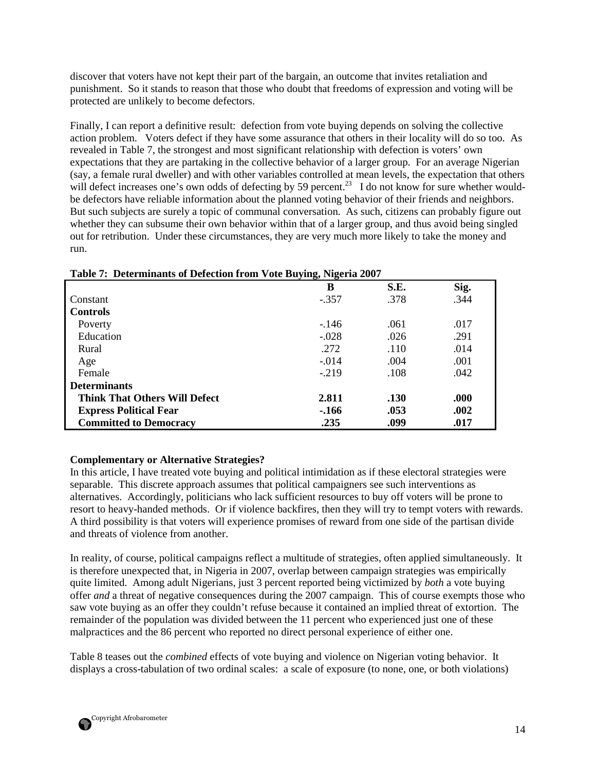discover that voters have not kept their part of the bargain, an outcome that invites retaliation and punishment. So it stands to reason that those who doubt that freedoms of expression and voting will be protected are unlikely to become defectors.

Finally, I can report a definitive result: defection from vote buying depends on solving the collective action problem. Voters defect if they have some assurance that others in their locality will do so too. As revealed in Table 7, the strongest and most significant relationship with defection is voters' own expectations that they are partaking in the collective behavior of a larger group. For an average Nigerian (say, a female rural dweller) and with other variables controlled at mean levels, the expectation that others will defect increases one's own odds of defecting by 59 percent.<sup>23</sup> I do not know for sure whether wouldbe defectors have reliable information about the planned voting behavior of their friends and neighbors. But such subjects are surely a topic of communal conversation. As such, citizens can probably figure out whether they can subsume their own behavior within that of a larger group, and thus avoid being singled out for retribution. Under these circumstances, they are very much more likely to take the money and run.

| <b>Table 7: Determinants of Defection from Vote Buying, Nigeria 2007</b> |         |      |      |  |  |
|--------------------------------------------------------------------------|---------|------|------|--|--|
|                                                                          | B       | S.E. | Sig. |  |  |
| Constant                                                                 | $-.357$ | .378 | .344 |  |  |
| <b>Controls</b>                                                          |         |      |      |  |  |
| Poverty                                                                  | $-146$  | .061 | .017 |  |  |
| Education                                                                | $-.028$ | .026 | .291 |  |  |
| Rural                                                                    | .272    | .110 | .014 |  |  |
| Age                                                                      | $-.014$ | .004 | .001 |  |  |
| Female                                                                   | $-219$  | .108 | .042 |  |  |
| <b>Determinants</b>                                                      |         |      |      |  |  |
| <b>Think That Others Will Defect</b>                                     | 2.811   | .130 | .000 |  |  |
| <b>Express Political Fear</b>                                            | $-166$  | .053 | .002 |  |  |
| <b>Committed to Democracy</b>                                            | .235    | .099 | .017 |  |  |

# **Table 7: Determinants of Defection from Vote Buying, Nigeria 2007**

# **Complementary or Alternative Strategies?**

In this article, I have treated vote buying and political intimidation as if these electoral strategies were separable. This discrete approach assumes that political campaigners see such interventions as alternatives. Accordingly, politicians who lack sufficient resources to buy off voters will be prone to resort to heavy-handed methods. Or if violence backfires, then they will try to tempt voters with rewards. A third possibility is that voters will experience promises of reward from one side of the partisan divide and threats of violence from another.

In reality, of course, political campaigns reflect a multitude of strategies, often applied simultaneously. It is therefore unexpected that, in Nigeria in 2007, overlap between campaign strategies was empirically quite limited. Among adult Nigerians, just 3 percent reported being victimized by *both* a vote buying offer *and* a threat of negative consequences during the 2007 campaign. This of course exempts those who saw vote buying as an offer they couldn't refuse because it contained an implied threat of extortion. The remainder of the population was divided between the 11 percent who experienced just one of these malpractices and the 86 percent who reported no direct personal experience of either one.

Table 8 teases out the *combined* effects of vote buying and violence on Nigerian voting behavior. It displays a cross-tabulation of two ordinal scales: a scale of exposure (to none, one, or both violations)

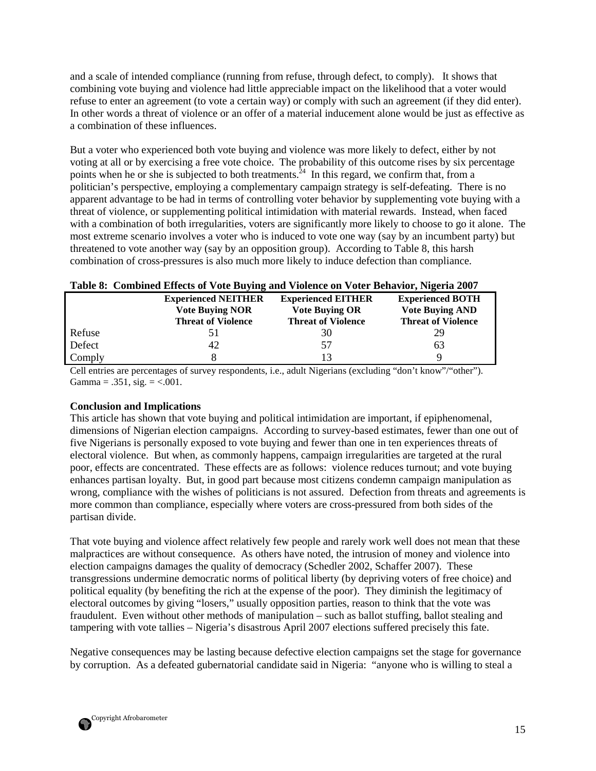and a scale of intended compliance (running from refuse, through defect, to comply). It shows that combining vote buying and violence had little appreciable impact on the likelihood that a voter would refuse to enter an agreement (to vote a certain way) or comply with such an agreement (if they did enter). In other words a threat of violence or an offer of a material inducement alone would be just as effective as a combination of these influences.

But a voter who experienced both vote buying and violence was more likely to defect, either by not voting at all or by exercising a free vote choice. The probability of this outcome rises by six percentage points when he or she is subjected to both treatments.<sup>24</sup> In this regard, we confirm that, from a politician's perspective, employing a complementary campaign strategy is self-defeating. There is no apparent advantage to be had in terms of controlling voter behavior by supplementing vote buying with a threat of violence, or supplementing political intimidation with material rewards. Instead, when faced with a combination of both irregularities, voters are significantly more likely to choose to go it alone. The most extreme scenario involves a voter who is induced to vote one way (say by an incumbent party) but threatened to vote another way (say by an opposition group). According to Table 8, this harsh combination of cross-pressures is also much more likely to induce defection than compliance.

| Table 8: Combined Effects of Vote Buying and Violence on Voter Behavior, Nigeria 2007 |                            |                           |                           |  |  |
|---------------------------------------------------------------------------------------|----------------------------|---------------------------|---------------------------|--|--|
|                                                                                       | <b>Experienced NEITHER</b> | <b>Experienced EITHER</b> | <b>Experienced BOTH</b>   |  |  |
|                                                                                       | <b>Vote Buying NOR</b>     | <b>Vote Buying OR</b>     | <b>Vote Buying AND</b>    |  |  |
|                                                                                       | <b>Threat of Violence</b>  | <b>Threat of Violence</b> | <b>Threat of Violence</b> |  |  |
| Refuse                                                                                | 51                         | 30                        | 29                        |  |  |
| Defect                                                                                | 42                         | 57                        | 63                        |  |  |
| Comply                                                                                |                            | 13                        | Q                         |  |  |

Cell entries are percentages of survey respondents, i.e., adult Nigerians (excluding "don't know"/"other"). Gamma =  $.351$ , sig. =  $< .001$ .

# **Conclusion and Implications**

This article has shown that vote buying and political intimidation are important, if epiphenomenal, dimensions of Nigerian election campaigns. According to survey-based estimates, fewer than one out of five Nigerians is personally exposed to vote buying and fewer than one in ten experiences threats of electoral violence. But when, as commonly happens, campaign irregularities are targeted at the rural poor, effects are concentrated. These effects are as follows: violence reduces turnout; and vote buying enhances partisan loyalty. But, in good part because most citizens condemn campaign manipulation as wrong, compliance with the wishes of politicians is not assured. Defection from threats and agreements is more common than compliance, especially where voters are cross-pressured from both sides of the partisan divide.

That vote buying and violence affect relatively few people and rarely work well does not mean that these malpractices are without consequence. As others have noted, the intrusion of money and violence into election campaigns damages the quality of democracy (Schedler 2002, Schaffer 2007). These transgressions undermine democratic norms of political liberty (by depriving voters of free choice) and political equality (by benefiting the rich at the expense of the poor). They diminish the legitimacy of electoral outcomes by giving "losers," usually opposition parties, reason to think that the vote was fraudulent. Even without other methods of manipulation – such as ballot stuffing, ballot stealing and tampering with vote tallies – Nigeria's disastrous April 2007 elections suffered precisely this fate.

Negative consequences may be lasting because defective election campaigns set the stage for governance by corruption. As a defeated gubernatorial candidate said in Nigeria: "anyone who is willing to steal a

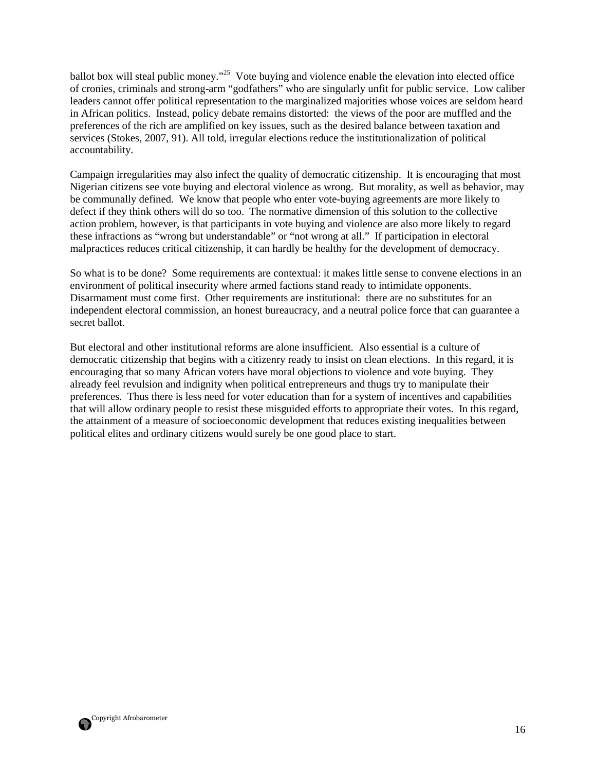ballot box will steal public money."<sup>25</sup> Vote buying and violence enable the elevation into elected office of cronies, criminals and strong-arm "godfathers" who are singularly unfit for public service. Low caliber leaders cannot offer political representation to the marginalized majorities whose voices are seldom heard in African politics. Instead, policy debate remains distorted: the views of the poor are muffled and the preferences of the rich are amplified on key issues, such as the desired balance between taxation and services (Stokes, 2007, 91). All told, irregular elections reduce the institutionalization of political accountability.

Campaign irregularities may also infect the quality of democratic citizenship. It is encouraging that most Nigerian citizens see vote buying and electoral violence as wrong. But morality, as well as behavior, may be communally defined. We know that people who enter vote-buying agreements are more likely to defect if they think others will do so too. The normative dimension of this solution to the collective action problem, however, is that participants in vote buying and violence are also more likely to regard these infractions as "wrong but understandable" or "not wrong at all." If participation in electoral malpractices reduces critical citizenship, it can hardly be healthy for the development of democracy.

So what is to be done? Some requirements are contextual: it makes little sense to convene elections in an environment of political insecurity where armed factions stand ready to intimidate opponents. Disarmament must come first. Other requirements are institutional: there are no substitutes for an independent electoral commission, an honest bureaucracy, and a neutral police force that can guarantee a secret ballot.

But electoral and other institutional reforms are alone insufficient. Also essential is a culture of democratic citizenship that begins with a citizenry ready to insist on clean elections. In this regard, it is encouraging that so many African voters have moral objections to violence and vote buying. They already feel revulsion and indignity when political entrepreneurs and thugs try to manipulate their preferences. Thus there is less need for voter education than for a system of incentives and capabilities that will allow ordinary people to resist these misguided efforts to appropriate their votes. In this regard, the attainment of a measure of socioeconomic development that reduces existing inequalities between political elites and ordinary citizens would surely be one good place to start.

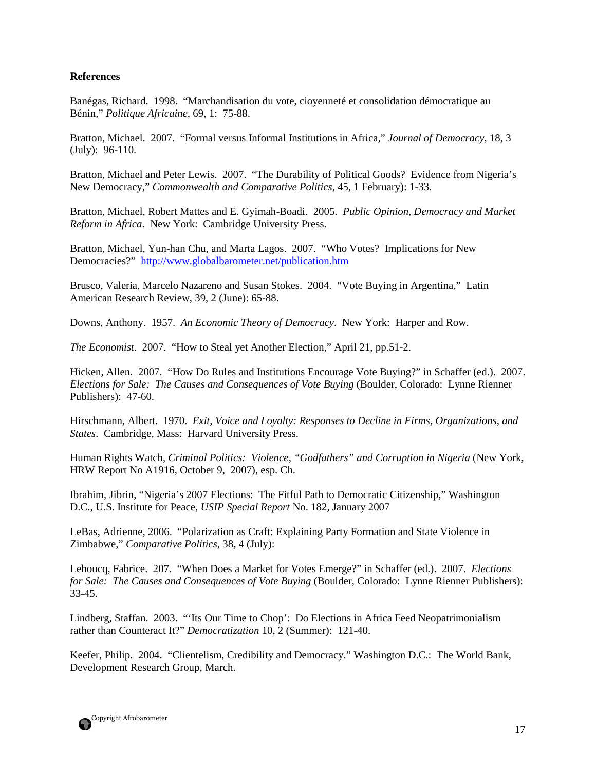#### **References**

Banégas, Richard. 1998. "Marchandisation du vote, cioyenneté et consolidation démocratique au Bénin," *Politique Africaine*, 69, 1: 75-88.

Bratton, Michael. 2007. "Formal versus Informal Institutions in Africa," *Journal of Democracy*, 18, 3 (July): 96-110.

Bratton, Michael and Peter Lewis. 2007. "The Durability of Political Goods? Evidence from Nigeria's New Democracy," *Commonwealth and Comparative Politics*, 45, 1 February): 1-33.

Bratton, Michael, Robert Mattes and E. Gyimah-Boadi. 2005. *Public Opinion, Democracy and Market Reform in Africa*. New York: Cambridge University Press.

Bratton, Michael, Yun-han Chu, and Marta Lagos. 2007. "Who Votes? Implications for New Democracies?" http://www.globalbarometer.net/publication.htm

Brusco, Valeria, Marcelo Nazareno and Susan Stokes. 2004. "Vote Buying in Argentina," Latin American Research Review, 39, 2 (June): 65-88.

Downs, Anthony. 1957. *An Economic Theory of Democracy*. New York: Harper and Row.

*The Economist*. 2007. "How to Steal yet Another Election," April 21, pp.51-2.

Hicken, Allen. 2007. "How Do Rules and Institutions Encourage Vote Buying?" in Schaffer (ed.). 2007. *Elections for Sale: The Causes and Consequences of Vote Buying* (Boulder, Colorado: Lynne Rienner Publishers): 47-60.

Hirschmann, Albert. 1970. *Exit, Voice and Loyalty: Responses to Decline in Firms, Organizations, and States*. Cambridge, Mass: Harvard University Press.

Human Rights Watch, *Criminal Politics: Violence, "Godfathers" and Corruption in Nigeria* (New York, HRW Report No A1916, October 9, 2007), esp. Ch.

Ibrahim, Jibrin, "Nigeria's 2007 Elections: The Fitful Path to Democratic Citizenship," Washington D.C., U.S. Institute for Peace, *USIP Special Report* No. 182, January 2007

LeBas, Adrienne, 2006. "Polarization as Craft: Explaining Party Formation and State Violence in Zimbabwe," *Comparative Politics*, 38, 4 (July):

Lehoucq, Fabrice. 207. "When Does a Market for Votes Emerge?" in Schaffer (ed.). 2007. *Elections for Sale: The Causes and Consequences of Vote Buying* (Boulder, Colorado: Lynne Rienner Publishers): 33-45.

Lindberg, Staffan. 2003. "'Its Our Time to Chop': Do Elections in Africa Feed Neopatrimonialism rather than Counteract It?" *Democratization* 10, 2 (Summer): 121-40.

Keefer, Philip. 2004. "Clientelism, Credibility and Democracy." Washington D.C.: The World Bank, Development Research Group, March.

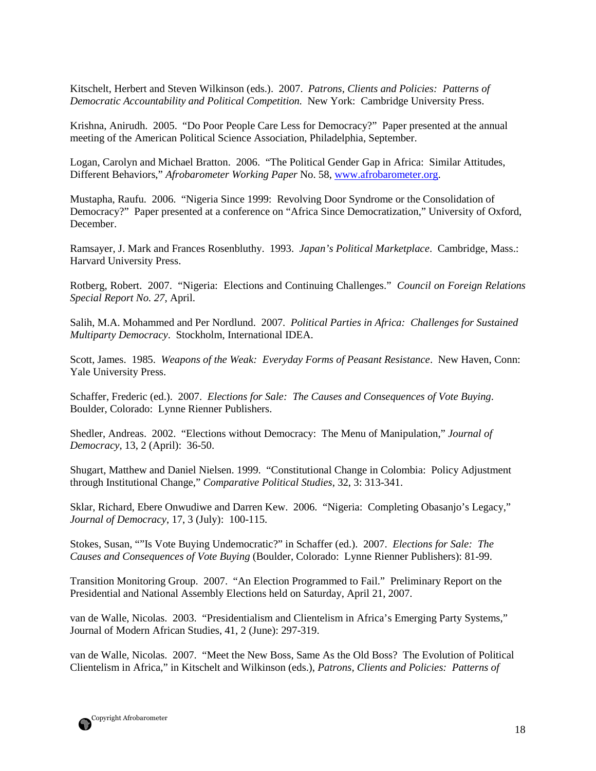Kitschelt, Herbert and Steven Wilkinson (eds.). 2007. *Patrons, Clients and Policies: Patterns of Democratic Accountability and Political Competition.* New York: Cambridge University Press.

Krishna, Anirudh. 2005. "Do Poor People Care Less for Democracy?" Paper presented at the annual meeting of the American Political Science Association, Philadelphia, September.

Logan, Carolyn and Michael Bratton. 2006. "The Political Gender Gap in Africa: Similar Attitudes, Different Behaviors," *Afrobarometer Working Paper* No. 58, www.afrobarometer.org.

Mustapha, Raufu. 2006. "Nigeria Since 1999: Revolving Door Syndrome or the Consolidation of Democracy?" Paper presented at a conference on "Africa Since Democratization," University of Oxford, December.

Ramsayer, J. Mark and Frances Rosenbluthy. 1993. *Japan's Political Marketplace*. Cambridge, Mass.: Harvard University Press.

Rotberg, Robert. 2007. "Nigeria: Elections and Continuing Challenges." *Council on Foreign Relations Special Report No. 27*, April.

Salih, M.A. Mohammed and Per Nordlund. 2007. *Political Parties in Africa: Challenges for Sustained Multiparty Democracy*. Stockholm, International IDEA.

Scott, James. 1985. *Weapons of the Weak: Everyday Forms of Peasant Resistance*. New Haven, Conn: Yale University Press.

Schaffer, Frederic (ed.). 2007. *Elections for Sale: The Causes and Consequences of Vote Buying*. Boulder, Colorado: Lynne Rienner Publishers.

Shedler, Andreas. 2002. "Elections without Democracy: The Menu of Manipulation," *Journal of Democracy*, 13, 2 (April): 36-50.

Shugart, Matthew and Daniel Nielsen. 1999. "Constitutional Change in Colombia: Policy Adjustment through Institutional Change," *Comparative Political Studies*, 32, 3: 313-341.

Sklar, Richard, Ebere Onwudiwe and Darren Kew. 2006. "Nigeria: Completing Obasanjo's Legacy," *Journal of Democracy*, 17, 3 (July): 100-115.

Stokes, Susan, ""Is Vote Buying Undemocratic?" in Schaffer (ed.). 2007. *Elections for Sale: The Causes and Consequences of Vote Buying* (Boulder, Colorado: Lynne Rienner Publishers): 81-99.

Transition Monitoring Group. 2007. "An Election Programmed to Fail." Preliminary Report on the Presidential and National Assembly Elections held on Saturday, April 21, 2007.

van de Walle, Nicolas. 2003. "Presidentialism and Clientelism in Africa's Emerging Party Systems," Journal of Modern African Studies, 41, 2 (June): 297-319.

van de Walle, Nicolas. 2007. "Meet the New Boss, Same As the Old Boss? The Evolution of Political Clientelism in Africa," in Kitschelt and Wilkinson (eds.), *Patrons, Clients and Policies: Patterns of* 

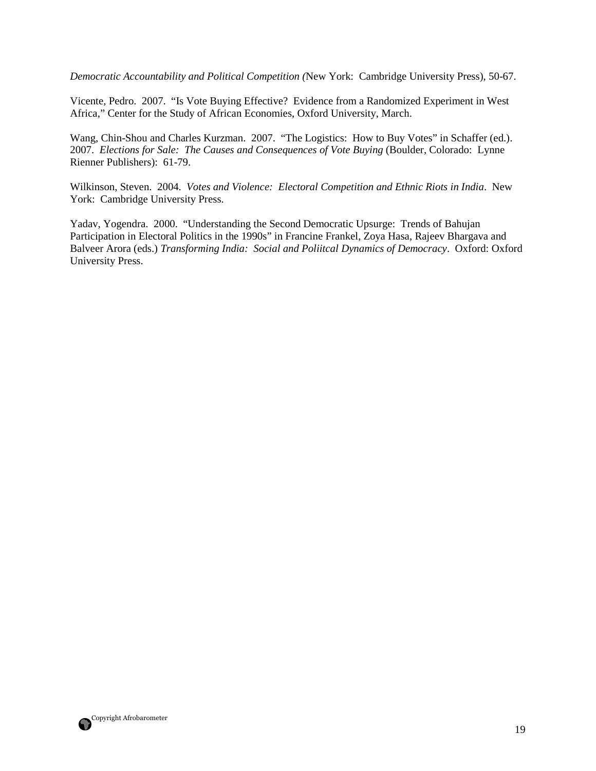*Democratic Accountability and Political Competition (*New York: Cambridge University Press), 50-67.

Vicente, Pedro. 2007. "Is Vote Buying Effective? Evidence from a Randomized Experiment in West Africa," Center for the Study of African Economies, Oxford University, March.

Wang, Chin-Shou and Charles Kurzman. 2007. "The Logistics: How to Buy Votes" in Schaffer (ed.). 2007. *Elections for Sale: The Causes and Consequences of Vote Buying* (Boulder, Colorado: Lynne Rienner Publishers): 61-79.

Wilkinson, Steven. 2004. *Votes and Violence: Electoral Competition and Ethnic Riots in India*. New York: Cambridge University Press.

Yadav, Yogendra. 2000. "Understanding the Second Democratic Upsurge: Trends of Bahujan Participation in Electoral Politics in the 1990s" in Francine Frankel, Zoya Hasa, Rajeev Bhargava and Balveer Arora (eds.) *Transforming India: Social and Poliitcal Dynamics of Democracy*. Oxford: Oxford University Press.

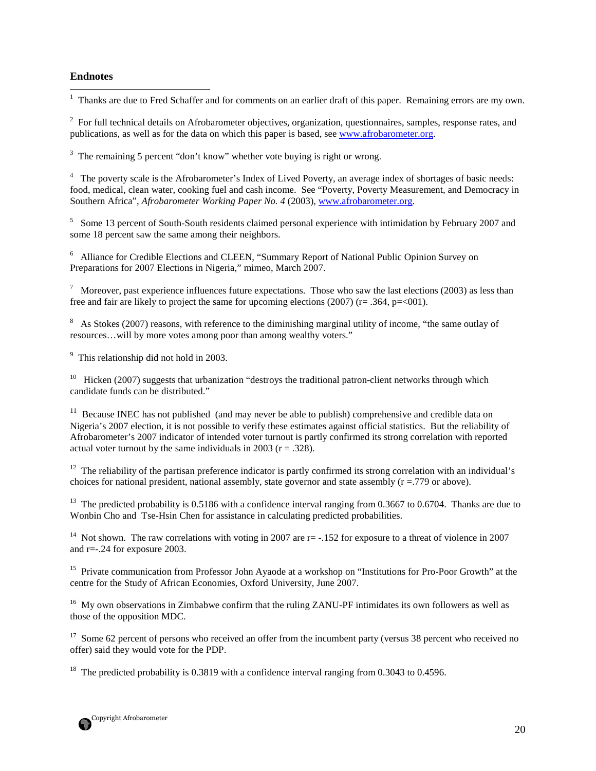#### **Endnotes**

<u>.</u>

<sup>1</sup> Thanks are due to Fred Schaffer and for comments on an earlier draft of this paper. Remaining errors are my own.

 $2^2$  For full technical details on Afrobarometer objectives, organization, questionnaires, samples, response rates, and publications, as well as for the data on which this paper is based, see www.afrobarometer.org.

<sup>3</sup> The remaining 5 percent "don't know" whether vote buying is right or wrong.

<sup>4</sup> The poverty scale is the Afrobarometer's Index of Lived Poverty, an average index of shortages of basic needs: food, medical, clean water, cooking fuel and cash income. See "Poverty, Poverty Measurement, and Democracy in Southern Africa", *Afrobarometer Working Paper No. 4* (2003), www.afrobarometer.org.

<sup>5</sup> Some 13 percent of South-South residents claimed personal experience with intimidation by February 2007 and some 18 percent saw the same among their neighbors.

<sup>6</sup> Alliance for Credible Elections and CLEEN, "Summary Report of National Public Opinion Survey on Preparations for 2007 Elections in Nigeria," mimeo, March 2007.

 $^7$  Moreover, past experience influences future expectations. Those who saw the last elections (2003) as less than free and fair are likely to project the same for upcoming elections (2007) ( $r = .364$ ,  $p = 001$ ).

 $8\text{ A}s$  Stokes (2007) reasons, with reference to the diminishing marginal utility of income, "the same outlay of resources…will by more votes among poor than among wealthy voters."

<sup>9</sup> This relationship did not hold in 2003.

<sup>10</sup> Hicken (2007) suggests that urbanization "destroys the traditional patron-client networks through which candidate funds can be distributed."

<sup>11</sup> Because INEC has not published (and may never be able to publish) comprehensive and credible data on Nigeria's 2007 election, it is not possible to verify these estimates against official statistics. But the reliability of Afrobarometer's 2007 indicator of intended voter turnout is partly confirmed its strong correlation with reported actual voter turnout by the same individuals in 2003 ( $r = .328$ ).

<sup>12</sup> The reliability of the partisan preference indicator is partly confirmed its strong correlation with an individual's choices for national president, national assembly, state governor and state assembly  $(r = .779)$  or above).

<sup>13</sup> The predicted probability is 0.5186 with a confidence interval ranging from 0.3667 to 0.6704. Thanks are due to Wonbin Cho and Tse-Hsin Chen for assistance in calculating predicted probabilities.

<sup>14</sup> Not shown. The raw correlations with voting in 2007 are  $r = -152$  for exposure to a threat of violence in 2007 and r=-.24 for exposure 2003.

<sup>15</sup> Private communication from Professor John Ayaode at a workshop on "Institutions for Pro-Poor Growth" at the centre for the Study of African Economies, Oxford University, June 2007.

<sup>16</sup> My own observations in Zimbabwe confirm that the ruling ZANU-PF intimidates its own followers as well as those of the opposition MDC.

<sup>17</sup> Some 62 percent of persons who received an offer from the incumbent party (versus 38 percent who received no offer) said they would vote for the PDP.

<sup>18</sup> The predicted probability is 0.3819 with a confidence interval ranging from 0.3043 to 0.4596.